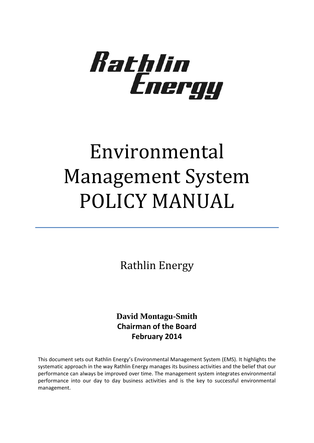

# Environmental Management System POLICY MANUAL

Rathlin Energy

**David Montagu-Smith Chairman of the Board February 2014**

This document sets out Rathlin Energy's Environmental Management System (EMS). It highlights the systematic approach in the way Rathlin Energy manages its business activities and the belief that our performance can always be improved over time. The management system integrates environmental performance into our day to day business activities and is the key to successful environmental management.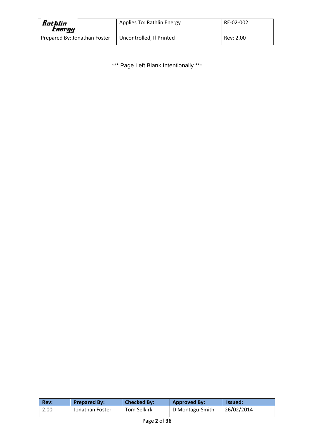| Rathlin<br>Energy            | Applies To: Rathlin Energy | RE-02-002 |
|------------------------------|----------------------------|-----------|
| Prepared By: Jonathan Foster | Uncontrolled, If Printed   | Rev: 2.00 |

\*\*\* Page Left Blank Intentionally \*\*\*

| Rev: | <b>Prepared By:</b> | <b>Checked By:</b> | <b>Approved By:</b> | lssued:    |
|------|---------------------|--------------------|---------------------|------------|
| 2.00 | Jonathan Foster     | Tom Selkirk        | D Montagu-Smith     | 26/02/2014 |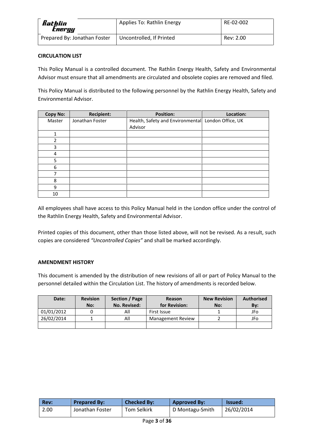| Rathlin<br>Energy            | Applies To: Rathlin Energy | RE-02-002 |
|------------------------------|----------------------------|-----------|
| Prepared By: Jonathan Foster | Uncontrolled, If Printed   | Rev: 2.00 |

## **CIRCULATION LIST**

This Policy Manual is a controlled document. The Rathlin Energy Health, Safety and Environmental Advisor must ensure that all amendments are circulated and obsolete copies are removed and filed.

This Policy Manual is distributed to the following personnel by the Rathlin Energy Health, Safety and Environmental Advisor.

| <b>Copy No:</b> | <b>Recipient:</b> | <b>Position:</b>                                   | Location: |
|-----------------|-------------------|----------------------------------------------------|-----------|
| Master          | Jonathan Foster   | Health, Safety and Environmental London Office, UK |           |
|                 |                   | Advisor                                            |           |
| 1               |                   |                                                    |           |
| 2               |                   |                                                    |           |
| 3               |                   |                                                    |           |
| 4               |                   |                                                    |           |
| 5               |                   |                                                    |           |
| 6               |                   |                                                    |           |
| 7               |                   |                                                    |           |
| 8               |                   |                                                    |           |
| 9               |                   |                                                    |           |
| 10              |                   |                                                    |           |

All employees shall have access to this Policy Manual held in the London office under the control of the Rathlin Energy Health, Safety and Environmental Advisor.

Printed copies of this document, other than those listed above, will not be revised. As a result, such copies are considered *"Uncontrolled Copies"* and shall be marked accordingly.

## **AMENDMENT HISTORY**

This document is amended by the distribution of new revisions of all or part of Policy Manual to the personnel detailed within the Circulation List. The history of amendments is recorded below.

| Date:      | <b>Revision</b> | Section / Page | Reason                   | <b>New Revision</b> | <b>Authorised</b> |
|------------|-----------------|----------------|--------------------------|---------------------|-------------------|
|            | No:             | No. Revised:   | for Revision:            | No:                 | By:               |
| 01/01/2012 |                 | All            | First Issue              |                     | JFo.              |
| 26/02/2014 |                 | All            | <b>Management Review</b> |                     | JFo               |
|            |                 |                |                          |                     |                   |

| Rev: | <b>Prepared By:</b> | <b>Checked By:</b> | <b>Approved By:</b> | Issued:    |
|------|---------------------|--------------------|---------------------|------------|
| 2.00 | Jonathan Foster     | Tom Selkirk        | D Montagu-Smith     | 26/02/2014 |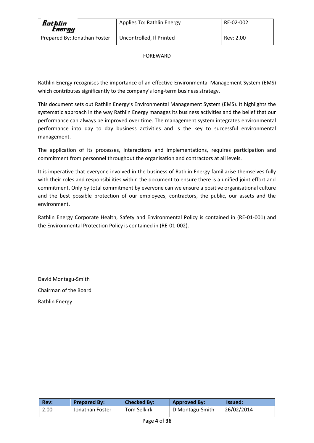| Rathlin<br><i>Energy</i>     | Applies To: Rathlin Energy | RE-02-002 |
|------------------------------|----------------------------|-----------|
| Prepared By: Jonathan Foster | Uncontrolled, If Printed   | Rev: 2.00 |

#### FOREWARD

Rathlin Energy recognises the importance of an effective Environmental Management System (EMS) which contributes significantly to the company's long-term business strategy.

This document sets out Rathlin Energy's Environmental Management System (EMS). It highlights the systematic approach in the way Rathlin Energy manages its business activities and the belief that our performance can always be improved over time. The management system integrates environmental performance into day to day business activities and is the key to successful environmental management.

The application of its processes, interactions and implementations, requires participation and commitment from personnel throughout the organisation and contractors at all levels.

It is imperative that everyone involved in the business of Rathlin Energy familiarise themselves fully with their roles and responsibilities within the document to ensure there is a unified joint effort and commitment. Only by total commitment by everyone can we ensure a positive organisational culture and the best possible protection of our employees, contractors, the public, our assets and the environment.

Rathlin Energy Corporate Health, Safety and Environmental Policy is contained in (RE-01-001) and the Environmental Protection Policy is contained in (RE-01-002).

David Montagu-Smith Chairman of the Board Rathlin Energy

| Rev: | <b>Prepared By:</b> | <b>Checked By:</b> | <b>Approved By:</b> | Issued:    |
|------|---------------------|--------------------|---------------------|------------|
| 2.00 | Jonathan Foster     | Tom Selkirk        | D Montagu-Smith     | 26/02/2014 |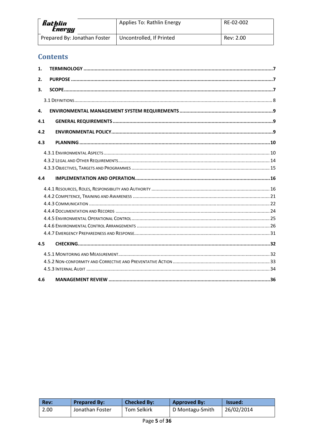| Rathlin<br><i>Energy</i>     | Applies To: Rathlin Energy | RE-02-002 |
|------------------------------|----------------------------|-----------|
| Prepared By: Jonathan Foster | Uncontrolled, If Printed   | Rev: 2.00 |

# **Contents**

| 1.  |  |
|-----|--|
| 2.  |  |
| 3.  |  |
|     |  |
| 4.  |  |
| 4.1 |  |
| 4.2 |  |
| 4.3 |  |
|     |  |
|     |  |
|     |  |
| 4.4 |  |
|     |  |
|     |  |
|     |  |
|     |  |
|     |  |
|     |  |
|     |  |
| 4.5 |  |
|     |  |
|     |  |
|     |  |
| 4.6 |  |

| Rev: | <b>Prepared By:</b> | <b>Checked By:</b> | <b>Approved By:</b> | <b>Issued:</b> |
|------|---------------------|--------------------|---------------------|----------------|
| 2.00 | Jonathan Foster     | <b>Tom Selkirk</b> | D Montagu-Smith     | 26/02/2014     |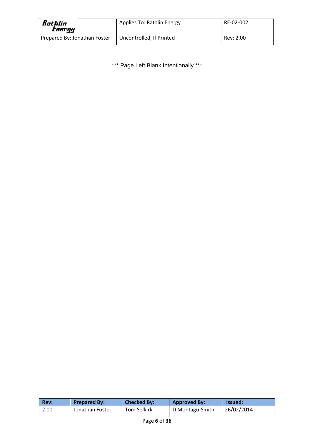| Rathlin<br>Energy            | Applies To: Rathlin Energy | RE-02-002 |
|------------------------------|----------------------------|-----------|
| Prepared By: Jonathan Foster | Uncontrolled, If Printed   | Rev: 2.00 |

\*\*\* Page Left Blank Intentionally \*\*\*

| Rev: | <b>Prepared By:</b> | <b>Checked By:</b> | <b>Approved By:</b> | lssued:    |
|------|---------------------|--------------------|---------------------|------------|
| 2.00 | Jonathan Foster     | Tom Selkirk        | D Montagu-Smith     | 26/02/2014 |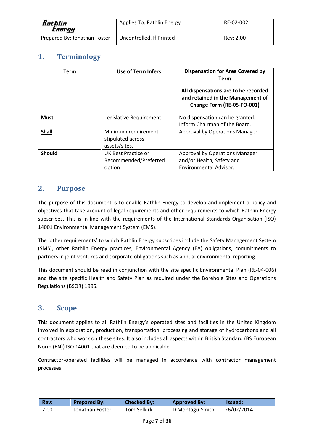| Rathlin<br><i>Energy</i>     | Applies To: Rathlin Energy | RE-02-002 |
|------------------------------|----------------------------|-----------|
| Prepared By: Jonathan Foster | Uncontrolled, If Printed   | Rev: 2.00 |

# **1. Terminology**

| Term          | Use of Term Infers                                        | <b>Dispensation for Area Covered by</b><br>Term                                                         |
|---------------|-----------------------------------------------------------|---------------------------------------------------------------------------------------------------------|
|               |                                                           | All dispensations are to be recorded<br>and retained in the Management of<br>Change Form (RE-05-FO-001) |
| <b>Must</b>   | Legislative Requirement.                                  | No dispensation can be granted.<br>Inform Chairman of the Board.                                        |
| <b>Shall</b>  | Minimum requirement<br>stipulated across<br>assets/sites. | Approval by Operations Manager                                                                          |
| <b>Should</b> | UK Best Practice or<br>Recommended/Preferred<br>option    | Approval by Operations Manager<br>and/or Health, Safety and<br>Environmental Advisor.                   |

# **2. Purpose**

The purpose of this document is to enable Rathlin Energy to develop and implement a policy and objectives that take account of legal requirements and other requirements to which Rathlin Energy subscribes. This is in line with the requirements of the International Standards Organisation (ISO) 14001 Environmental Management System (EMS).

The 'other requirements' to which Rathlin Energy subscribes include the Safety Management System (SMS), other Rathlin Energy practices, Environmental Agency (EA) obligations, commitments to partners in joint ventures and corporate obligations such as annual environmental reporting.

This document should be read in conjunction with the site specific Environmental Plan (RE-04-006) and the site specific Health and Safety Plan as required under the Borehole Sites and Operations Regulations (BSOR) 1995.

# **3. Scope**

This document applies to all Rathlin Energy's operated sites and facilities in the United Kingdom involved in exploration, production, transportation, processing and storage of hydrocarbons and all contractors who work on these sites. It also includes all aspects within British Standard (BS European Norm (EN)) ISO 14001 that are deemed to be applicable.

Contractor-operated facilities will be managed in accordance with contractor management processes.

| Rev: | <b>Prepared By:</b> | <b>Checked By:</b> | <b>Approved By:</b> | lssued:    |
|------|---------------------|--------------------|---------------------|------------|
| 2.00 | Jonathan Foster     | <b>Tom Selkirk</b> | D Montagu-Smith     | 26/02/2014 |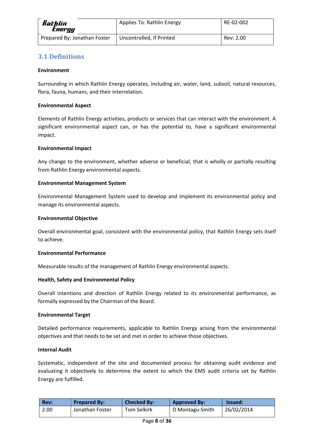| Rathlin<br>Energy            | Applies To: Rathlin Energy | RE-02-002 |
|------------------------------|----------------------------|-----------|
| Prepared By: Jonathan Foster | Uncontrolled, If Printed   | Rev: 2.00 |

# **3.1 Definitions**

#### **Environment**

Surrounding in which Rathlin Energy operates, including air, water, land, subsoil, natural resources, flora, fauna, humans, and their interrelation.

#### **Environmental Aspect**

Elements of Rathlin Energy activities, products or services that can interact with the environment. A significant environmental aspect can, or has the potential to, have a significant environmental impact.

#### **Environmental Impact**

Any change to the environment, whether adverse or beneficial, that is wholly or partially resulting from Rathlin Energy environmental aspects.

#### **Environmental Management System**

Environmental Management System used to develop and implement its environmental policy and manage its environmental aspects.

#### **Environmental Objective**

Overall environmental goal, consistent with the environmental policy, that Rathlin Energy sets itself to achieve.

#### **Environmental Performance**

Measurable results of the management of Rathlin Energy environmental aspects.

#### **Health, Safety and Environmental Policy**

Overall intentions and direction of Rathlin Energy related to its environmental performance, as formally expressed by the Chairman of the Board.

#### **Environmental Target**

Detailed performance requirements, applicable to Rathlin Energy arising from the environmental objectives and that needs to be set and met in order to achieve those objectives.

#### **Internal Audit**

Systematic, independent of the site and documented process for obtaining audit evidence and evaluating it objectively to determine the extent to which the EMS audit criteria set by Rathlin Energy are fulfilled.

| Rev: | <b>Prepared By:</b> | <b>Checked By:</b> | <b>Approved By:</b> | <b>Issued:</b> |
|------|---------------------|--------------------|---------------------|----------------|
| 2.00 | Jonathan Foster     | Tom Selkirk        | D Montagu-Smith     | 26/02/2014     |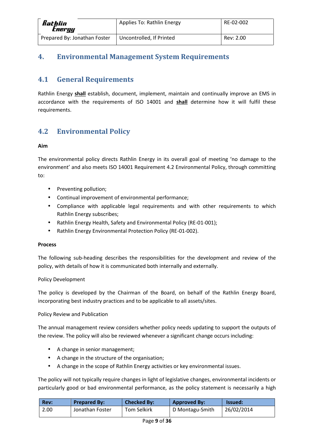| Rathlin<br><i>Energy</i>     | Applies To: Rathlin Energy | RE-02-002 |
|------------------------------|----------------------------|-----------|
| Prepared By: Jonathan Foster | Uncontrolled, If Printed   | Rev: 2.00 |

# **4. Environmental Management System Requirements**

# **4.1 General Requirements**

Rathlin Energy **shall** establish, document, implement, maintain and continually improve an EMS in accordance with the requirements of ISO 14001 and **shall** determine how it will fulfil these requirements.

# **4.2 Environmental Policy**

# **Aim**

The environmental policy directs Rathlin Energy in its overall goal of meeting 'no damage to the environment' and also meets ISO 14001 Requirement 4.2 Environmental Policy, through committing to:

- Preventing pollution;
- Continual improvement of environmental performance;
- Compliance with applicable legal requirements and with other requirements to which Rathlin Energy subscribes;
- Rathlin Energy Health, Safety and Environmental Policy (RE-01-001);
- Rathlin Energy Environmental Protection Policy (RE-01-002).

# **Process**

The following sub-heading describes the responsibilities for the development and review of the policy, with details of how it is communicated both internally and externally.

# Policy Development

The policy is developed by the Chairman of the Board, on behalf of the Rathlin Energy Board, incorporating best industry practices and to be applicable to all assets/sites.

# Policy Review and Publication

The annual management review considers whether policy needs updating to support the outputs of the review. The policy will also be reviewed whenever a significant change occurs including:

- A change in senior management;
- A change in the structure of the organisation;
- A change in the scope of Rathlin Energy activities or key environmental issues.

The policy will not typically require changes in light of legislative changes, environmental incidents or particularly good or bad environmental performance, as the policy statement is necessarily a high

| Rev: | <b>Prepared By:</b> | <b>Checked By:</b> | <b>Approved By:</b> | Issued:    |
|------|---------------------|--------------------|---------------------|------------|
| 2.00 | Jonathan Foster     | <b>Tom Selkirk</b> | D Montagu-Smith     | 26/02/2014 |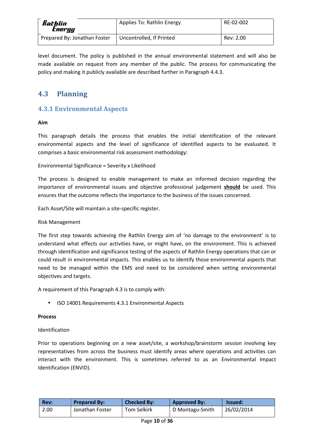| Rathlin<br><i>Energy</i>     | Applies To: Rathlin Energy | RE-02-002 |
|------------------------------|----------------------------|-----------|
| Prepared By: Jonathan Foster | Uncontrolled, If Printed   | Rev: 2.00 |

level document. The policy is published in the annual environmental statement and will also be made available on request from any member of the public. The process for communicating the policy and making it publicly available are described further in Paragraph 4.4.3.

# **4.3 Planning**

# **4.3.1 Environmental Aspects**

# **Aim**

This paragraph details the process that enables the initial identification of the relevant environmental aspects and the level of significance of identified aspects to be evaluated. It comprises a basic environmental risk assessment methodology:

# Environmental Significance = Severity x Likelihood

The process is designed to enable management to make an informed decision regarding the importance of environmental issues and objective professional judgement **should** be used. This ensures that the outcome reflects the importance to the business of the issues concerned.

Each Asset/Site will maintain a site-specific register.

# Risk Management

The first step towards achieving the Rathlin Energy aim of 'no damage to the environment' is to understand what effects our activities have, or might have, on the environment. This is achieved through identification and significance testing of the aspects of Rathlin Energy operations that can or could result in environmental impacts. This enables us to identify those environmental aspects that need to be managed within the EMS and need to be considered when setting environmental objectives and targets.

A requirement of this Paragraph 4.3 is to comply with:

ISO 14001 Requirements 4.3.1 Environmental Aspects

# **Process**

# Identification

Prior to operations beginning on a new asset/site, a workshop/brainstorm session involving key representatives from across the business must identify areas where operations and activities can interact with the environment. This is sometimes referred to as an Environmental Impact Identification (ENVID).

| Rev: | <b>Prepared By:</b> | <b>Checked By:</b> | <b>Approved By:</b> | <b>Issued:</b> |
|------|---------------------|--------------------|---------------------|----------------|
| 2.00 | Jonathan Foster     | Tom Selkirk        | D Montagu-Smith     | 26/02/2014     |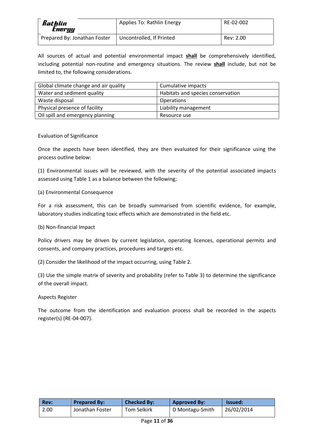| Rathlin<br><i>Energy</i>     |  | Applies To: Rathlin Energy | RE-02-002 |
|------------------------------|--|----------------------------|-----------|
| Prepared By: Jonathan Foster |  | Uncontrolled, If Printed   | Rev: 2.00 |

All sources of actual and potential environmental impact **shall** be comprehensively identified, including potential non-routine and emergency situations. The review **shall** include, but not be limited to, the following considerations.

| Global climate change and air quality | Cumulative impacts                |
|---------------------------------------|-----------------------------------|
| Water and sediment quality            | Habitats and species conservation |
| Waste disposal                        | <b>Operations</b>                 |
| Physical presence of facility         | Liability management              |
| Oil spill and emergency planning      | Resource use                      |

Evaluation of Significance

Once the aspects have been identified, they are then evaluated for their significance using the process outline below:

(1) Environmental issues will be reviewed, with the severity of the potential associated impacts assessed using Table 1 as a balance between the following;

# (a) Environmental Consequence

For a risk assessment, this can be broadly summarised from scientific evidence, for example, laboratory studies indicating toxic effects which are demonstrated in the field etc.

#### (b) Non-financial Impact

Policy drivers may be driven by current legislation, operating licences, operational permits and consents, and company practices, procedures and targets etc.

(2) Consider the likelihood of the impact occurring, using Table 2.

(3) Use the simple matrix of severity and probability (refer to Table 3) to determine the significance of the overall impact.

#### Aspects Register

The outcome from the identification and evaluation process shall be recorded in the aspects register(s) (RE-04-007).

| Rev: | <b>Prepared By:</b> | <b>Checked By:</b> | <b>Approved By:</b> | Issued:    |
|------|---------------------|--------------------|---------------------|------------|
| 2.00 | Jonathan Foster     | Tom Selkirk        | D Montagu-Smith     | 26/02/2014 |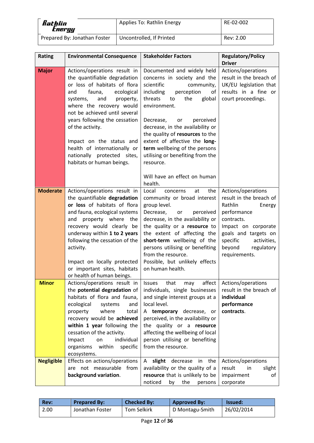| Rathlin<br><i>Energy</i>     | Applies To: Rathlin Energy | RE-02-002 |
|------------------------------|----------------------------|-----------|
| Prepared By: Jonathan Foster | Uncontrolled, If Printed   | Rev: 2.00 |

| Rating            | <b>Environmental Consequence</b>                                                                                                                                                                                                                                                                                                                                                                      | <b>Stakeholder Factors</b>                                                                                                                                                                                                                                                                                                                                                                                                         | <b>Regulatory/Policy</b><br><b>Driver</b>                                                                                                                                                                          |
|-------------------|-------------------------------------------------------------------------------------------------------------------------------------------------------------------------------------------------------------------------------------------------------------------------------------------------------------------------------------------------------------------------------------------------------|------------------------------------------------------------------------------------------------------------------------------------------------------------------------------------------------------------------------------------------------------------------------------------------------------------------------------------------------------------------------------------------------------------------------------------|--------------------------------------------------------------------------------------------------------------------------------------------------------------------------------------------------------------------|
| <b>Major</b>      | Actions/operations result in<br>the quantifiable degradation<br>or loss of habitats of flora<br>fauna,<br>ecological<br>and<br>systems,<br>and<br>property,<br>where the recovery would<br>not be achieved until several<br>years following the cessation<br>of the activity.<br>Impact on the status and<br>health of internationally or<br>nationally protected sites,<br>habitats or human beings. | Documented and widely held<br>concerns in society and the<br>scientific<br>community,<br>including<br>perception<br>οf<br>threats<br>the<br>global<br>to<br>environment.<br>Decrease,<br>perceived<br>or<br>decrease, in the availability or<br>the quality of resources to the<br>extent of affective the long-<br>term wellbeing of the persons<br>utilising or benefiting from the<br>resource.<br>Will have an effect on human | Actions/operations<br>result in the breach of<br>UK/EU legislation that<br>results in a fine or<br>court proceedings.                                                                                              |
| <b>Moderate</b>   | Actions/operations result in<br>the quantifiable degradation<br>or loss of habitats of flora<br>and fauna, ecological systems<br>property where the<br>and<br>recovery would clearly be<br>underway within 1 to 2 years<br>following the cessation of the<br>activity.<br>Impact on locally protected<br>or important sites, habitats<br>or health of human beings.                                   | health.<br>Local<br>the<br>at<br>concerns<br>community or broad interest<br>group level.<br>Decrease,<br>perceived<br>or<br>decrease, in the availability or<br>the quality or a resource to<br>the extent of affecting the<br>short-term wellbeing of the<br>persons utilising or benefiting<br>from the resource.<br>Possible, but unlikely effects<br>on human health.                                                          | Actions/operations<br>result in the breach of<br>Rathlin<br>Energy<br>performance<br>contracts.<br>Impact on corporate<br>goals and targets on<br>specific<br>activities,<br>beyond<br>regulatory<br>requirements. |
| <b>Minor</b>      | Actions/operations result in<br>the potential degradation of<br>habitats of flora and fauna,<br>ecological<br>systems<br>and<br>property<br>where<br>total<br>recovery would be achieved<br>within 1 year following the<br>cessation of the activity.<br>individual<br>Impact<br>on<br>organisms<br>within<br>specific<br>ecosystems.                                                                 | affect<br>that<br><b>Issues</b><br>may<br>individuals, single businesses<br>and single interest groups at a<br>local level.<br>A temporary decrease, or<br>perceived, in the availability or<br>the quality or a resource<br>affecting the wellbeing of local<br>person utilising or benefiting<br>from the resource.                                                                                                              | Actions/operations<br>result in the breach of<br>individual<br>performance<br>contracts.                                                                                                                           |
| <b>Negligible</b> | Effects on actions/operations<br>are not measurable from<br>background variation.                                                                                                                                                                                                                                                                                                                     | decrease in the<br>slight<br>A<br>availability or the quality of a<br>resource that is unlikely to be<br>noticed<br>by<br>the<br>persons                                                                                                                                                                                                                                                                                           | Actions/operations<br>result<br>in<br>slight<br>impairment<br>οf<br>corporate                                                                                                                                      |

| Rev: | <b>Prepared By:</b> | <b>Checked By:</b> | <b>Approved By:</b> | lssued:    |
|------|---------------------|--------------------|---------------------|------------|
| 2.00 | Jonathan Foster     | Tom Selkirk        | D Montagu-Smith     | 26/02/2014 |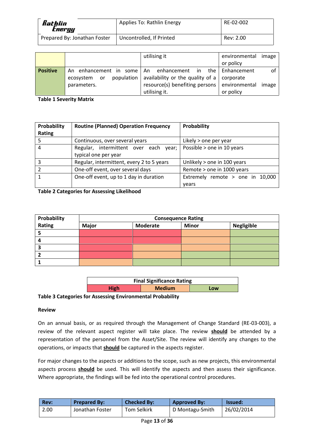| Rathlin<br><i>Energy</i>     | Applies To: Rathlin Energy | RE-02-002 |
|------------------------------|----------------------------|-----------|
| Prepared By: Jonathan Foster | Uncontrolled, If Printed   | Rev: 2.00 |

|                 |                        | utilising it                                                          | environmental<br>image<br>or policy |
|-----------------|------------------------|-----------------------------------------------------------------------|-------------------------------------|
| <b>Positive</b> |                        | An enhancement in some $\vert$ An enhancement in the Enhancement      | of                                  |
|                 | ecosystem<br><b>or</b> | population $\vert$ availability or the quality of a $\vert$ corporate |                                     |
|                 | parameters.            | resource(s) benefiting persons $ $ environmental                      | image                               |
|                 |                        | utilising it.                                                         | or policy                           |

**Table 1 Severity Matrix**

| Probability   | <b>Routine (Planned) Operation Frequency</b>                  | Probability                               |
|---------------|---------------------------------------------------------------|-------------------------------------------|
| <b>Rating</b> |                                                               |                                           |
|               | Continuous, over several years                                | Likely > one per year                     |
| 4             | Regular, intermittent over each year;<br>typical one per year | Possible > one in 10 years                |
|               | Regular, intermittent, every 2 to 5 years                     | Unlikely > one in 100 years               |
|               | One-off event, over several days                              | Remote > one in 1000 years                |
|               | One-off event, up to 1 day in duration                        | Extremely remote > one in 10,000<br>years |

**Table 2 Categories for Assessing Likelihood**

| Probability | <b>Consequence Rating</b> |                 |              |                   |
|-------------|---------------------------|-----------------|--------------|-------------------|
| Rating      | <b>Major</b>              | <b>Moderate</b> | <b>Minor</b> | <b>Negligible</b> |
|             |                           |                 |              |                   |
|             |                           |                 |              |                   |
|             |                           |                 |              |                   |
|             |                           |                 |              |                   |
|             |                           |                 |              |                   |

|      | <b>Final Significance Rating</b> |  |  |  |  |
|------|----------------------------------|--|--|--|--|
| High | <b>Medium</b><br>Low             |  |  |  |  |
|      |                                  |  |  |  |  |

# **Table 3 Categories for Assessing Environmental Probability**

#### **Review**

On an annual basis, or as required through the Management of Change Standard (RE-03-003), a review of the relevant aspect register will take place. The review **should** be attended by a representation of the personnel from the Asset/Site. The review will identify any changes to the operations, or impacts that **should** be captured in the aspects register.

For major changes to the aspects or additions to the scope, such as new projects, this environmental aspects process **should** be used. This will identify the aspects and then assess their significance. Where appropriate, the findings will be fed into the operational control procedures.

| <b>Rev:</b> | <b>Prepared By:</b> | <b>Checked By:</b> | <b>Approved By:</b> | <b>Issued:</b> |
|-------------|---------------------|--------------------|---------------------|----------------|
| 2.00        | Jonathan Foster     | Tom Selkirk        | D Montagu-Smith     | 26/02/2014     |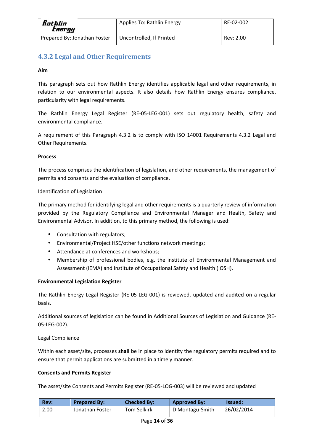| Rathlin<br><i>Energy</i>     | Applies To: Rathlin Energy | RE-02-002 |
|------------------------------|----------------------------|-----------|
| Prepared By: Jonathan Foster | Uncontrolled, If Printed   | Rev: 2.00 |

# **4.3.2 Legal and Other Requirements**

## **Aim**

This paragraph sets out how Rathlin Energy identifies applicable legal and other requirements, in relation to our environmental aspects. It also details how Rathlin Energy ensures compliance, particularity with legal requirements.

The Rathlin Energy Legal Register (RE-05-LEG-001) sets out regulatory health, safety and environmental compliance.

A requirement of this Paragraph 4.3.2 is to comply with ISO 14001 Requirements 4.3.2 Legal and Other Requirements.

#### **Process**

The process comprises the identification of legislation, and other requirements, the management of permits and consents and the evaluation of compliance.

#### Identification of Legislation

The primary method for identifying legal and other requirements is a quarterly review of information provided by the Regulatory Compliance and Environmental Manager and Health, Safety and Environmental Advisor. In addition, to this primary method, the following is used:

- Consultation with regulators;
- Environmental/Project HSE/other functions network meetings;
- Attendance at conferences and workshops;
- Membership of professional bodies, e.g. the institute of Environmental Management and Assessment (IEMA) and Institute of Occupational Safety and Health (IOSH).

# **Environmental Legislation Register**

The Rathlin Energy Legal Register (RE-05-LEG-001) is reviewed, updated and audited on a regular basis.

Additional sources of legislation can be found in Additional Sources of Legislation and Guidance (RE- 05-LEG-002).

# Legal Compliance

Within each asset/site, processes **shall** be in place to identity the regulatory permits required and to ensure that permit applications are submitted in a timely manner.

#### **Consents and Permits Register**

The asset/site Consents and Permits Register (RE-05-LOG-003) will be reviewed and updated

| Rev: | <b>Prepared By:</b> | <b>Checked By:</b> | <b>Approved By:</b> | Issued:    |
|------|---------------------|--------------------|---------------------|------------|
| 2.00 | Jonathan Foster     | Tom Selkirk        | D Montagu-Smith     | 26/02/2014 |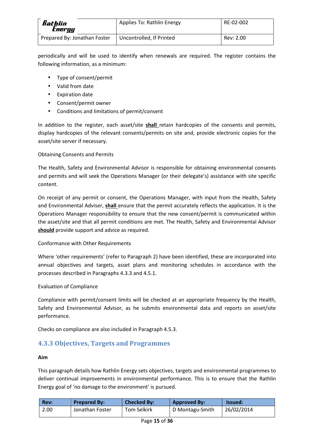| Rathlin<br>Energy            | Applies To: Rathlin Energy | RE-02-002 |
|------------------------------|----------------------------|-----------|
| Prepared By: Jonathan Foster | Uncontrolled, If Printed   | Rev: 2.00 |

periodically and will be used to identify when renewals are required. The register contains the following information, as a minimum:

- Type of consent/permit
- Valid from date
- Expiration date
- Consent/permit owner
- Conditions and limitations of permit/consent

In addition to the register, each asset/site **shall** retain hardcopies of the consents and permits, display hardcopies of the relevant consents/permits on site and, provide electronic copies for the asset/site server if necessary.

# Obtaining Consents and Permits

The Health, Safety and Environmental Advisor is responsible for obtaining environmental consents and permits and will seek the Operations Manager (or their delegate's) assistance with site specific content.

On receipt of any permit or consent, the Operations Manager, with input from the Health, Safety and Environmental Adviser, **shall** ensure that the permit accurately reflects the application. It is the Operations Manager responsibility to ensure that the new consent/permit is communicated within the asset/site and that all permit conditions are met. The Health, Safety and Environmental Advisor **should** provide support and advice as required.

# Conformance with Other Requirements

Where 'other requirements' (refer to Paragraph 2) have been identified, these are incorporated into annual objectives and targets, asset plans and monitoring schedules in accordance with the processes described in Paragraphs 4.3.3 and 4.5.1.

# Evaluation of Compliance

Compliance with permit/consent limits will be checked at an appropriate frequency by the Health, Safety and Environmental Advisor, as he submits environmental data and reports on asset/site performance.

Checks on compliance are also included in Paragraph 4.5.3.

# **4.3.3 Objectives, Targets and Programmes**

#### **Aim**

This paragraph details how Rathlin Energy sets objectives, targets and environmental programmes to deliver continual improvements in environmental performance. This is to ensure that the Rathlin Energy goal of 'no damage to the environment' is pursued.

| Rev: | <b>Prepared By:</b> | <b>Checked By:</b> | <b>Approved By:</b> | <b>Issued:</b> |
|------|---------------------|--------------------|---------------------|----------------|
| 2.00 | Jonathan Foster     | <b>Tom Selkirk</b> | D Montagu-Smith     | 26/02/2014     |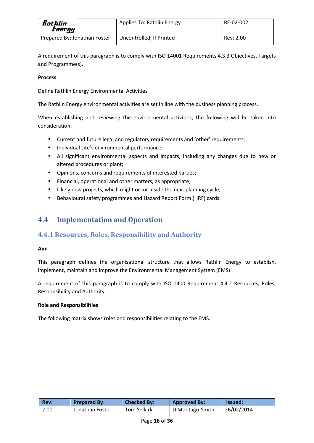| Rathlin<br>Energy            | Applies To: Rathlin Energy | RE-02-002 |
|------------------------------|----------------------------|-----------|
| Prepared By: Jonathan Foster | Uncontrolled, If Printed   | Rev: 2.00 |

A requirement of this paragraph is to comply with ISO 14001 Requirements 4.3.3 Objectives, Targets and Programme(s).

# **Process**

Define Rathlin Energy Environmental Activities

The Rathlin Energy environmental activities are set in line with the business planning process.

When establishing and reviewing the environmental activities, the following will be taken into consideration:

- Current and future legal and regulatory requirements and 'other' requirements;
- Individual site's environmental performance:
- All significant environmental aspects and impacts, including any changes due to new or altered procedures or plant;
- Opinions, concerns and requirements of interested parties;
- Financial, operational and other matters, as appropriate;
- Likely new projects, which might occur inside the next planning cycle;
- Behavioural safety programmes and Hazard Report Form (HRF) cards.

# **4.4 Implementation and Operation**

# **4.4.1 Resources, Roles, Responsibility and Authority**

# **Aim**

This paragraph defines the organisational structure that allows Rathlin Energy to establish, implement, maintain and improve the Environmental Management System (EMS).

A requirement of this paragraph is to comply with ISO 1400 Requirement 4.4.2 Resources, Roles, Responsibility and Authority.

#### **Role and Responsibilities**

The following matrix shows roles and responsibilities relating to the EMS.

| Rev: | <b>Prepared By:</b> | <b>Checked By:</b> | <b>Approved By:</b> | Issued:    |  |  |
|------|---------------------|--------------------|---------------------|------------|--|--|
| 2.00 | Jonathan Foster     | <b>Tom Selkirk</b> | D Montagu-Smith     | 26/02/2014 |  |  |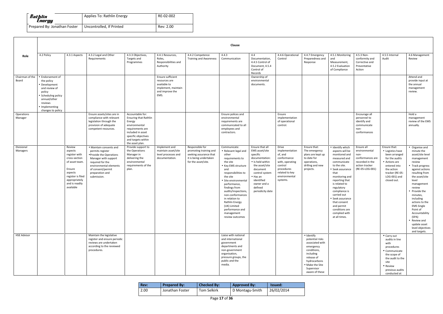| Rathlin<br><i>Energy</i>     | Applies To: Rathlin Energy | RE-02-002 |
|------------------------------|----------------------------|-----------|
| Prepared By: Jonathan Foster | Uncontrolled, If Printed   | Rev: 2.00 |

 $\top$ 

| Rev: | <b>Prepared By:</b> | <b>Checked By:</b> | <b>Approved By:</b> | <b>Issued:</b> |  |  |
|------|---------------------|--------------------|---------------------|----------------|--|--|
| 2.00 | Jonathan Foster     | Tom Selkirk        | D Montagu-Smith     | 26/02/2014     |  |  |

| Clause                           |                                                                                                                  |                                                                                                                                                                 |                                                                                                                                                                                                      |                                                                                                                                                                                      |                                                                                                                       |                                                                                                                      |                                                                                                                                                                                                                                                                                                                                                                |                                                                                                                                                                                                                     |                                                                                                                                              |                                                                                                                                                                            |                                                                                                                                                                                                                                                                                                                                          |                                                                                                                 |                                                                                                                                                                         |                                                                                                                                                                                                                                                                                                                                                                                  |
|----------------------------------|------------------------------------------------------------------------------------------------------------------|-----------------------------------------------------------------------------------------------------------------------------------------------------------------|------------------------------------------------------------------------------------------------------------------------------------------------------------------------------------------------------|--------------------------------------------------------------------------------------------------------------------------------------------------------------------------------------|-----------------------------------------------------------------------------------------------------------------------|----------------------------------------------------------------------------------------------------------------------|----------------------------------------------------------------------------------------------------------------------------------------------------------------------------------------------------------------------------------------------------------------------------------------------------------------------------------------------------------------|---------------------------------------------------------------------------------------------------------------------------------------------------------------------------------------------------------------------|----------------------------------------------------------------------------------------------------------------------------------------------|----------------------------------------------------------------------------------------------------------------------------------------------------------------------------|------------------------------------------------------------------------------------------------------------------------------------------------------------------------------------------------------------------------------------------------------------------------------------------------------------------------------------------|-----------------------------------------------------------------------------------------------------------------|-------------------------------------------------------------------------------------------------------------------------------------------------------------------------|----------------------------------------------------------------------------------------------------------------------------------------------------------------------------------------------------------------------------------------------------------------------------------------------------------------------------------------------------------------------------------|
| Role<br>Chairman of the<br>Board | 4.2 Policy<br>• Endorsement of<br>the policy<br>· Development                                                    | 4.3.1 Aspects                                                                                                                                                   | 4.3.2 Legal and Other<br>Requirements                                                                                                                                                                | 4.3.3 Objectives,<br>Targets and<br>Programmes                                                                                                                                       | 4.4.1 Resources,<br>Roles,<br>Responsibilities and<br>Authority<br>Ensure sufficient<br>resources are<br>available to | 4.4.2 Competence<br><b>Training and Awareness</b>                                                                    | 4.4.3<br>Communication                                                                                                                                                                                                                                                                                                                                         | 4.4<br>Documentation,<br>4.4.5 Control of<br>Document, 4.5.4<br>Control of<br>Records<br>Ownership of<br>environmental<br>documents.                                                                                | 4.4.6 Operational<br>Control                                                                                                                 | 4.4.7 Emergency<br>Preparedness and<br>Response                                                                                                                            | 4.5.1 Monitoring<br>and<br>Measurement,<br>4.5.2 Evaluation<br>of Compliance                                                                                                                                                                                                                                                             | 4.5.3 Non-<br>conformity and<br>Corrective and<br>Preventative<br>Action                                        | 4.5.5 Internal<br>Audit                                                                                                                                                 | 4.6 Management<br>Review<br>Attend and<br>provide input at<br>the annual                                                                                                                                                                                                                                                                                                         |
|                                  | and review of<br>policy<br>• Scheduling policy<br>annual/other<br>reviews<br>• Implementing<br>changes to policy |                                                                                                                                                                 |                                                                                                                                                                                                      |                                                                                                                                                                                      | implement, maintain<br>and improve the<br>EMS.                                                                        |                                                                                                                      |                                                                                                                                                                                                                                                                                                                                                                |                                                                                                                                                                                                                     |                                                                                                                                              |                                                                                                                                                                            |                                                                                                                                                                                                                                                                                                                                          |                                                                                                                 |                                                                                                                                                                         | management<br>review.                                                                                                                                                                                                                                                                                                                                                            |
| Operations<br>Manager            |                                                                                                                  |                                                                                                                                                                 | Ensure assets/sites are in<br>compliance with relevant<br>legislation through the<br>provision of adequate<br>competent resources.                                                                   | Accountable for:<br><b>Ensuring that Rathlin</b><br>Energy<br>environmental<br>requirements are<br>included in asset<br>specific objectives<br>and targets within<br>the asset plan. |                                                                                                                       |                                                                                                                      | Ensure polices and<br>environmental<br>requirements are<br>communicated to all<br>employees and<br>contractors.                                                                                                                                                                                                                                                |                                                                                                                                                                                                                     | Ensure<br>implementation<br>of operational<br>control.                                                                                       |                                                                                                                                                                            |                                                                                                                                                                                                                                                                                                                                          | Encourage all<br>personnel to<br>identify and<br>communicate<br>non-<br>conformances                            |                                                                                                                                                                         | Hold a<br>management<br>review of the EMS<br>annually.                                                                                                                                                                                                                                                                                                                           |
| Divisional<br>Managers           |                                                                                                                  | Review<br>aspects<br>register with<br>cross-section<br>of asset team.<br>Ensure<br>aspects<br>register is filed<br>appropriately<br>and is readily<br>available | • Maintain consents and<br>permits register<br>• Provide the Operations<br>Manager with support<br>required for the<br>environmental elements<br>of consent/permit<br>preparation and<br>submission. | Provide support to<br>the Operations<br>Manager in<br>delivering the<br>environmental<br>requirements of the<br>plan.                                                                | Implement and<br>maintain asset/site<br>level processes and<br>documentation.                                         | Responsible for<br>promoting training and<br>seeking assurance that<br>it is being undertaken<br>for the asset/site. | Communicate:<br>• Relevant legal and<br>other<br>requirements to<br>the site<br>• Key EMS structure<br>and<br>responsibilities to<br>the site<br>Site environmental<br>performance,<br>findings from<br>audits/inspections,<br>non-conformances<br>in relation to<br><b>Rathlin Energy</b><br>(UK) Limited<br>performance and<br>management<br>review outcomes | Ensure that all<br>EMS asset/site<br>specific<br>documentation:<br>• Is held within<br>the asset/site<br>document<br>control system<br>$\bullet$ Has an<br>identified<br>owner and a<br>defined<br>periodicity date | Drive<br>implementation<br>of, and<br>conformance<br>with, operating<br>control<br>procedures<br>related to key<br>environmental<br>systems. | Ensure that:<br>The emergency<br>plans are kept up<br>to date for<br>operations,<br>drilling and new<br>projects.                                                          | · Identify which<br>aspects will be<br>monitored and<br>measured and<br>communicate<br>to the site.<br>• Seek assurance<br>that<br>monitoring and<br>reporting that<br>is related to<br>regulatory<br>compliance is<br>carried out<br>• Seek assurance<br>that consent<br>and permit<br>conditions are<br>complied with<br>at all times. | Ensure all<br>environmental<br>non-<br>conformances are<br>recorded in the<br>action tracker<br>(RE-05-LOG-001) | Ensure that:<br>• Logistics have<br>been arranged<br>for the audits<br>• Actions are<br>entered into<br>the action<br>tracker (RE-05-<br>$LOG-001$ ) and<br>closed out. | • Organise and<br>minute the<br>asset/site level<br>management<br>review<br>• Track progress<br>against actions<br>resulting from<br>the asset/site<br>level<br>management<br>review<br>• Provide the<br>minutes,<br>including<br>actions to the<br><b>EMS Single</b><br>Point of<br>Accountability<br>(SPA)<br>• Review and<br>update asset<br>level objectives<br>and targets. |
| <b>HSE Advisor</b>               |                                                                                                                  |                                                                                                                                                                 | Maintain the legislative<br>register and ensure periodic<br>reviews are undertaken<br>according to the reviewed<br>procedures.                                                                       |                                                                                                                                                                                      |                                                                                                                       |                                                                                                                      | Liaise with national<br>and international<br>government<br>departments and<br>non-government<br>organisation,<br>pressure groups, the<br>public and the<br>media.                                                                                                                                                                                              |                                                                                                                                                                                                                     |                                                                                                                                              | · Identify<br>potential risks<br>associated with<br>emergency<br>conditions,<br>including<br>release of<br>hydrocarbons<br>• Make the Site<br>Supervisor<br>aware of these |                                                                                                                                                                                                                                                                                                                                          |                                                                                                                 | • Carry out<br>audits in line<br>with<br>procedures<br>• Communicate<br>the scope of<br>the audit to the<br>site<br>• Review<br>previous audits<br>conducted at         |                                                                                                                                                                                                                                                                                                                                                                                  |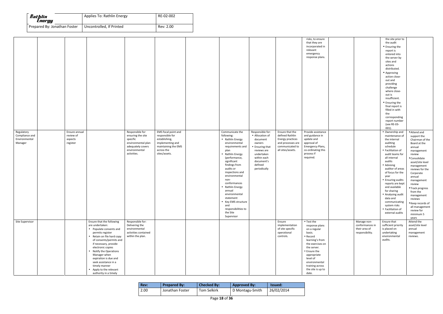| Rathlin<br><i>Energy</i>     | Applies To: Rathlin Energy | RE-02-002 |
|------------------------------|----------------------------|-----------|
| Prepared By: Jonathan Foster | Uncontrolled, If Printed   | Rev: 2.00 |

| Rev:          | <b>Prepared By:</b> | <b>Checked By:</b> | <b>Approved By:</b> | <b>Issued:</b> |  |  |  |  |  |
|---------------|---------------------|--------------------|---------------------|----------------|--|--|--|--|--|
| 2.00          | Jonathan Foster     | Tom Selkirk        | D Montagu-Smith     | 26/02/2014     |  |  |  |  |  |
| Page 18 of 36 |                     |                    |                     |                |  |  |  |  |  |

| the site prior to<br>risks, to ensure<br>that they are<br>the audit<br>incorporated in<br>• Ensuring the<br>relevant<br>report is<br>emergency<br>entered into<br>response plans.<br>the server by<br>sites and<br>actions<br>distributed.<br>• Approving<br>action close-<br>out and<br>providing<br>challenge<br>where close-<br>out is<br>insufficient.<br>• Ensuring the<br>final report is<br>filled in with<br>the<br>corresponding<br>report number<br>(see RE-03-<br>$001$ ).<br>Responsible for<br>Responsible for:<br>EMS focal point and<br>Communicate the<br>Ensure that the<br>Provide assistance<br>Regulatory<br>Ensure annual<br>• Ownership and<br>• Attend and<br>Compliance and<br>ensuring the site<br>responsible for<br>following:<br>defined Rathlin<br>and guidance in<br>review of<br>• Allocation of<br>maintenance of<br>support the<br>Environmental<br>establishing,<br>specific<br>• Rathlin Energy<br>Energy practices<br>update and<br>aspects<br>document<br>the internal<br>Chairman of the<br>Manager<br>environmental plan<br>implementing and<br>approval of<br>register<br>environmental<br>and processes are<br>auditing<br>owners<br>Board at the<br>maintaining the EMS<br>Emergency Plans,<br>adequately covers<br>communicated to<br>schedule<br>• Ensuring that<br>requirements and<br>annual<br>all sites/assets.<br>co-ordinating this<br>environmental<br>across the<br>plan<br>• Facilitation of<br>reviews are<br>management<br>activities.<br>sites/assets.<br>process if<br>• Rathlin Energy<br>undertaken<br>audit teams for<br>review<br>required.<br>(performance,<br>within each<br>all internal<br>• Consolidate<br>significant<br>document's<br>audits<br>asset/site level<br>defined<br>findings from<br>• Advising<br>management<br>audits or<br>periodically<br>auditor of areas<br>reviews for the<br>inspections and<br>of focus for the<br>Corporate<br>environmental<br>year<br>annual<br>non-<br>• Ensuring audits<br>management<br>conformances<br>reports are kept<br>review<br>• Rathlin Energy<br>and available<br>$\bullet$ Track progress<br>annual<br>for sharing<br>from the<br>environmental<br>• Analysing audit<br>management<br>statement<br>data and<br>reviews<br>• Key EMS structure<br>communicating<br>$\bullet$ Keep records of<br>and<br>system risks<br>all management<br>responsibilities to<br>• Facilitation of<br>review for<br>the Site<br>external audits<br>minimum 5<br>Supervisor<br>years<br>Site Supervisor<br>Ensure that the following<br>Responsible for:<br>Attend the<br>Ensure<br>• Test the<br>Manage non-<br>Ensure that<br>Delivering the<br>are undertaken:<br>implementation<br>conformances in<br>sufficient priority<br>asset/site level<br>response plans<br>environmental<br>• Populate consents and<br>of site specific<br>their area of<br>is placed on<br>annual<br>on a regular<br>activities contained<br>operational<br>responsibility.<br>permits register<br>basis.<br>undertaking<br>management<br>controls.<br>within the plan.<br>environmental<br>reviews.<br>• Retain on file hard copy<br>$\bullet$ Record<br>audits.<br>of consents/permits and<br>learning's from<br>if necessary, provide<br>the exercises on<br>electronic copies<br>the server.<br>• Notify the Operations<br>• Ensure the<br>Manager when<br>appropriate<br>expiration is due and<br>level of<br>seek assistance in a<br>environmental<br>timely manner<br>training across<br>• Apply to the relevant<br>the site is up to<br>authority in a timely<br>date. |  |  |  |  |  |  |
|------------------------------------------------------------------------------------------------------------------------------------------------------------------------------------------------------------------------------------------------------------------------------------------------------------------------------------------------------------------------------------------------------------------------------------------------------------------------------------------------------------------------------------------------------------------------------------------------------------------------------------------------------------------------------------------------------------------------------------------------------------------------------------------------------------------------------------------------------------------------------------------------------------------------------------------------------------------------------------------------------------------------------------------------------------------------------------------------------------------------------------------------------------------------------------------------------------------------------------------------------------------------------------------------------------------------------------------------------------------------------------------------------------------------------------------------------------------------------------------------------------------------------------------------------------------------------------------------------------------------------------------------------------------------------------------------------------------------------------------------------------------------------------------------------------------------------------------------------------------------------------------------------------------------------------------------------------------------------------------------------------------------------------------------------------------------------------------------------------------------------------------------------------------------------------------------------------------------------------------------------------------------------------------------------------------------------------------------------------------------------------------------------------------------------------------------------------------------------------------------------------------------------------------------------------------------------------------------------------------------------------------------------------------------------------------------------------------------------------------------------------------------------------------------------------------------------------------------------------------------------------------------------------------------------------------------------------------------------------------------------------------------------------------------------------------------------------------------------------------------------------------------------------------------------------------------------------------------------------------------------------------------------------------------------------------------------------------------------------------------------------------------------------------------------------------------------------------------------------------------------------------------------------------------------------------|--|--|--|--|--|--|
|                                                                                                                                                                                                                                                                                                                                                                                                                                                                                                                                                                                                                                                                                                                                                                                                                                                                                                                                                                                                                                                                                                                                                                                                                                                                                                                                                                                                                                                                                                                                                                                                                                                                                                                                                                                                                                                                                                                                                                                                                                                                                                                                                                                                                                                                                                                                                                                                                                                                                                                                                                                                                                                                                                                                                                                                                                                                                                                                                                                                                                                                                                                                                                                                                                                                                                                                                                                                                                                                                                                                                                  |  |  |  |  |  |  |
|                                                                                                                                                                                                                                                                                                                                                                                                                                                                                                                                                                                                                                                                                                                                                                                                                                                                                                                                                                                                                                                                                                                                                                                                                                                                                                                                                                                                                                                                                                                                                                                                                                                                                                                                                                                                                                                                                                                                                                                                                                                                                                                                                                                                                                                                                                                                                                                                                                                                                                                                                                                                                                                                                                                                                                                                                                                                                                                                                                                                                                                                                                                                                                                                                                                                                                                                                                                                                                                                                                                                                                  |  |  |  |  |  |  |
|                                                                                                                                                                                                                                                                                                                                                                                                                                                                                                                                                                                                                                                                                                                                                                                                                                                                                                                                                                                                                                                                                                                                                                                                                                                                                                                                                                                                                                                                                                                                                                                                                                                                                                                                                                                                                                                                                                                                                                                                                                                                                                                                                                                                                                                                                                                                                                                                                                                                                                                                                                                                                                                                                                                                                                                                                                                                                                                                                                                                                                                                                                                                                                                                                                                                                                                                                                                                                                                                                                                                                                  |  |  |  |  |  |  |
|                                                                                                                                                                                                                                                                                                                                                                                                                                                                                                                                                                                                                                                                                                                                                                                                                                                                                                                                                                                                                                                                                                                                                                                                                                                                                                                                                                                                                                                                                                                                                                                                                                                                                                                                                                                                                                                                                                                                                                                                                                                                                                                                                                                                                                                                                                                                                                                                                                                                                                                                                                                                                                                                                                                                                                                                                                                                                                                                                                                                                                                                                                                                                                                                                                                                                                                                                                                                                                                                                                                                                                  |  |  |  |  |  |  |
|                                                                                                                                                                                                                                                                                                                                                                                                                                                                                                                                                                                                                                                                                                                                                                                                                                                                                                                                                                                                                                                                                                                                                                                                                                                                                                                                                                                                                                                                                                                                                                                                                                                                                                                                                                                                                                                                                                                                                                                                                                                                                                                                                                                                                                                                                                                                                                                                                                                                                                                                                                                                                                                                                                                                                                                                                                                                                                                                                                                                                                                                                                                                                                                                                                                                                                                                                                                                                                                                                                                                                                  |  |  |  |  |  |  |
|                                                                                                                                                                                                                                                                                                                                                                                                                                                                                                                                                                                                                                                                                                                                                                                                                                                                                                                                                                                                                                                                                                                                                                                                                                                                                                                                                                                                                                                                                                                                                                                                                                                                                                                                                                                                                                                                                                                                                                                                                                                                                                                                                                                                                                                                                                                                                                                                                                                                                                                                                                                                                                                                                                                                                                                                                                                                                                                                                                                                                                                                                                                                                                                                                                                                                                                                                                                                                                                                                                                                                                  |  |  |  |  |  |  |
|                                                                                                                                                                                                                                                                                                                                                                                                                                                                                                                                                                                                                                                                                                                                                                                                                                                                                                                                                                                                                                                                                                                                                                                                                                                                                                                                                                                                                                                                                                                                                                                                                                                                                                                                                                                                                                                                                                                                                                                                                                                                                                                                                                                                                                                                                                                                                                                                                                                                                                                                                                                                                                                                                                                                                                                                                                                                                                                                                                                                                                                                                                                                                                                                                                                                                                                                                                                                                                                                                                                                                                  |  |  |  |  |  |  |
|                                                                                                                                                                                                                                                                                                                                                                                                                                                                                                                                                                                                                                                                                                                                                                                                                                                                                                                                                                                                                                                                                                                                                                                                                                                                                                                                                                                                                                                                                                                                                                                                                                                                                                                                                                                                                                                                                                                                                                                                                                                                                                                                                                                                                                                                                                                                                                                                                                                                                                                                                                                                                                                                                                                                                                                                                                                                                                                                                                                                                                                                                                                                                                                                                                                                                                                                                                                                                                                                                                                                                                  |  |  |  |  |  |  |
|                                                                                                                                                                                                                                                                                                                                                                                                                                                                                                                                                                                                                                                                                                                                                                                                                                                                                                                                                                                                                                                                                                                                                                                                                                                                                                                                                                                                                                                                                                                                                                                                                                                                                                                                                                                                                                                                                                                                                                                                                                                                                                                                                                                                                                                                                                                                                                                                                                                                                                                                                                                                                                                                                                                                                                                                                                                                                                                                                                                                                                                                                                                                                                                                                                                                                                                                                                                                                                                                                                                                                                  |  |  |  |  |  |  |
|                                                                                                                                                                                                                                                                                                                                                                                                                                                                                                                                                                                                                                                                                                                                                                                                                                                                                                                                                                                                                                                                                                                                                                                                                                                                                                                                                                                                                                                                                                                                                                                                                                                                                                                                                                                                                                                                                                                                                                                                                                                                                                                                                                                                                                                                                                                                                                                                                                                                                                                                                                                                                                                                                                                                                                                                                                                                                                                                                                                                                                                                                                                                                                                                                                                                                                                                                                                                                                                                                                                                                                  |  |  |  |  |  |  |
|                                                                                                                                                                                                                                                                                                                                                                                                                                                                                                                                                                                                                                                                                                                                                                                                                                                                                                                                                                                                                                                                                                                                                                                                                                                                                                                                                                                                                                                                                                                                                                                                                                                                                                                                                                                                                                                                                                                                                                                                                                                                                                                                                                                                                                                                                                                                                                                                                                                                                                                                                                                                                                                                                                                                                                                                                                                                                                                                                                                                                                                                                                                                                                                                                                                                                                                                                                                                                                                                                                                                                                  |  |  |  |  |  |  |
|                                                                                                                                                                                                                                                                                                                                                                                                                                                                                                                                                                                                                                                                                                                                                                                                                                                                                                                                                                                                                                                                                                                                                                                                                                                                                                                                                                                                                                                                                                                                                                                                                                                                                                                                                                                                                                                                                                                                                                                                                                                                                                                                                                                                                                                                                                                                                                                                                                                                                                                                                                                                                                                                                                                                                                                                                                                                                                                                                                                                                                                                                                                                                                                                                                                                                                                                                                                                                                                                                                                                                                  |  |  |  |  |  |  |
|                                                                                                                                                                                                                                                                                                                                                                                                                                                                                                                                                                                                                                                                                                                                                                                                                                                                                                                                                                                                                                                                                                                                                                                                                                                                                                                                                                                                                                                                                                                                                                                                                                                                                                                                                                                                                                                                                                                                                                                                                                                                                                                                                                                                                                                                                                                                                                                                                                                                                                                                                                                                                                                                                                                                                                                                                                                                                                                                                                                                                                                                                                                                                                                                                                                                                                                                                                                                                                                                                                                                                                  |  |  |  |  |  |  |
|                                                                                                                                                                                                                                                                                                                                                                                                                                                                                                                                                                                                                                                                                                                                                                                                                                                                                                                                                                                                                                                                                                                                                                                                                                                                                                                                                                                                                                                                                                                                                                                                                                                                                                                                                                                                                                                                                                                                                                                                                                                                                                                                                                                                                                                                                                                                                                                                                                                                                                                                                                                                                                                                                                                                                                                                                                                                                                                                                                                                                                                                                                                                                                                                                                                                                                                                                                                                                                                                                                                                                                  |  |  |  |  |  |  |
|                                                                                                                                                                                                                                                                                                                                                                                                                                                                                                                                                                                                                                                                                                                                                                                                                                                                                                                                                                                                                                                                                                                                                                                                                                                                                                                                                                                                                                                                                                                                                                                                                                                                                                                                                                                                                                                                                                                                                                                                                                                                                                                                                                                                                                                                                                                                                                                                                                                                                                                                                                                                                                                                                                                                                                                                                                                                                                                                                                                                                                                                                                                                                                                                                                                                                                                                                                                                                                                                                                                                                                  |  |  |  |  |  |  |
|                                                                                                                                                                                                                                                                                                                                                                                                                                                                                                                                                                                                                                                                                                                                                                                                                                                                                                                                                                                                                                                                                                                                                                                                                                                                                                                                                                                                                                                                                                                                                                                                                                                                                                                                                                                                                                                                                                                                                                                                                                                                                                                                                                                                                                                                                                                                                                                                                                                                                                                                                                                                                                                                                                                                                                                                                                                                                                                                                                                                                                                                                                                                                                                                                                                                                                                                                                                                                                                                                                                                                                  |  |  |  |  |  |  |
|                                                                                                                                                                                                                                                                                                                                                                                                                                                                                                                                                                                                                                                                                                                                                                                                                                                                                                                                                                                                                                                                                                                                                                                                                                                                                                                                                                                                                                                                                                                                                                                                                                                                                                                                                                                                                                                                                                                                                                                                                                                                                                                                                                                                                                                                                                                                                                                                                                                                                                                                                                                                                                                                                                                                                                                                                                                                                                                                                                                                                                                                                                                                                                                                                                                                                                                                                                                                                                                                                                                                                                  |  |  |  |  |  |  |
|                                                                                                                                                                                                                                                                                                                                                                                                                                                                                                                                                                                                                                                                                                                                                                                                                                                                                                                                                                                                                                                                                                                                                                                                                                                                                                                                                                                                                                                                                                                                                                                                                                                                                                                                                                                                                                                                                                                                                                                                                                                                                                                                                                                                                                                                                                                                                                                                                                                                                                                                                                                                                                                                                                                                                                                                                                                                                                                                                                                                                                                                                                                                                                                                                                                                                                                                                                                                                                                                                                                                                                  |  |  |  |  |  |  |
|                                                                                                                                                                                                                                                                                                                                                                                                                                                                                                                                                                                                                                                                                                                                                                                                                                                                                                                                                                                                                                                                                                                                                                                                                                                                                                                                                                                                                                                                                                                                                                                                                                                                                                                                                                                                                                                                                                                                                                                                                                                                                                                                                                                                                                                                                                                                                                                                                                                                                                                                                                                                                                                                                                                                                                                                                                                                                                                                                                                                                                                                                                                                                                                                                                                                                                                                                                                                                                                                                                                                                                  |  |  |  |  |  |  |
|                                                                                                                                                                                                                                                                                                                                                                                                                                                                                                                                                                                                                                                                                                                                                                                                                                                                                                                                                                                                                                                                                                                                                                                                                                                                                                                                                                                                                                                                                                                                                                                                                                                                                                                                                                                                                                                                                                                                                                                                                                                                                                                                                                                                                                                                                                                                                                                                                                                                                                                                                                                                                                                                                                                                                                                                                                                                                                                                                                                                                                                                                                                                                                                                                                                                                                                                                                                                                                                                                                                                                                  |  |  |  |  |  |  |
|                                                                                                                                                                                                                                                                                                                                                                                                                                                                                                                                                                                                                                                                                                                                                                                                                                                                                                                                                                                                                                                                                                                                                                                                                                                                                                                                                                                                                                                                                                                                                                                                                                                                                                                                                                                                                                                                                                                                                                                                                                                                                                                                                                                                                                                                                                                                                                                                                                                                                                                                                                                                                                                                                                                                                                                                                                                                                                                                                                                                                                                                                                                                                                                                                                                                                                                                                                                                                                                                                                                                                                  |  |  |  |  |  |  |
|                                                                                                                                                                                                                                                                                                                                                                                                                                                                                                                                                                                                                                                                                                                                                                                                                                                                                                                                                                                                                                                                                                                                                                                                                                                                                                                                                                                                                                                                                                                                                                                                                                                                                                                                                                                                                                                                                                                                                                                                                                                                                                                                                                                                                                                                                                                                                                                                                                                                                                                                                                                                                                                                                                                                                                                                                                                                                                                                                                                                                                                                                                                                                                                                                                                                                                                                                                                                                                                                                                                                                                  |  |  |  |  |  |  |
|                                                                                                                                                                                                                                                                                                                                                                                                                                                                                                                                                                                                                                                                                                                                                                                                                                                                                                                                                                                                                                                                                                                                                                                                                                                                                                                                                                                                                                                                                                                                                                                                                                                                                                                                                                                                                                                                                                                                                                                                                                                                                                                                                                                                                                                                                                                                                                                                                                                                                                                                                                                                                                                                                                                                                                                                                                                                                                                                                                                                                                                                                                                                                                                                                                                                                                                                                                                                                                                                                                                                                                  |  |  |  |  |  |  |
|                                                                                                                                                                                                                                                                                                                                                                                                                                                                                                                                                                                                                                                                                                                                                                                                                                                                                                                                                                                                                                                                                                                                                                                                                                                                                                                                                                                                                                                                                                                                                                                                                                                                                                                                                                                                                                                                                                                                                                                                                                                                                                                                                                                                                                                                                                                                                                                                                                                                                                                                                                                                                                                                                                                                                                                                                                                                                                                                                                                                                                                                                                                                                                                                                                                                                                                                                                                                                                                                                                                                                                  |  |  |  |  |  |  |
|                                                                                                                                                                                                                                                                                                                                                                                                                                                                                                                                                                                                                                                                                                                                                                                                                                                                                                                                                                                                                                                                                                                                                                                                                                                                                                                                                                                                                                                                                                                                                                                                                                                                                                                                                                                                                                                                                                                                                                                                                                                                                                                                                                                                                                                                                                                                                                                                                                                                                                                                                                                                                                                                                                                                                                                                                                                                                                                                                                                                                                                                                                                                                                                                                                                                                                                                                                                                                                                                                                                                                                  |  |  |  |  |  |  |
|                                                                                                                                                                                                                                                                                                                                                                                                                                                                                                                                                                                                                                                                                                                                                                                                                                                                                                                                                                                                                                                                                                                                                                                                                                                                                                                                                                                                                                                                                                                                                                                                                                                                                                                                                                                                                                                                                                                                                                                                                                                                                                                                                                                                                                                                                                                                                                                                                                                                                                                                                                                                                                                                                                                                                                                                                                                                                                                                                                                                                                                                                                                                                                                                                                                                                                                                                                                                                                                                                                                                                                  |  |  |  |  |  |  |
|                                                                                                                                                                                                                                                                                                                                                                                                                                                                                                                                                                                                                                                                                                                                                                                                                                                                                                                                                                                                                                                                                                                                                                                                                                                                                                                                                                                                                                                                                                                                                                                                                                                                                                                                                                                                                                                                                                                                                                                                                                                                                                                                                                                                                                                                                                                                                                                                                                                                                                                                                                                                                                                                                                                                                                                                                                                                                                                                                                                                                                                                                                                                                                                                                                                                                                                                                                                                                                                                                                                                                                  |  |  |  |  |  |  |
|                                                                                                                                                                                                                                                                                                                                                                                                                                                                                                                                                                                                                                                                                                                                                                                                                                                                                                                                                                                                                                                                                                                                                                                                                                                                                                                                                                                                                                                                                                                                                                                                                                                                                                                                                                                                                                                                                                                                                                                                                                                                                                                                                                                                                                                                                                                                                                                                                                                                                                                                                                                                                                                                                                                                                                                                                                                                                                                                                                                                                                                                                                                                                                                                                                                                                                                                                                                                                                                                                                                                                                  |  |  |  |  |  |  |
|                                                                                                                                                                                                                                                                                                                                                                                                                                                                                                                                                                                                                                                                                                                                                                                                                                                                                                                                                                                                                                                                                                                                                                                                                                                                                                                                                                                                                                                                                                                                                                                                                                                                                                                                                                                                                                                                                                                                                                                                                                                                                                                                                                                                                                                                                                                                                                                                                                                                                                                                                                                                                                                                                                                                                                                                                                                                                                                                                                                                                                                                                                                                                                                                                                                                                                                                                                                                                                                                                                                                                                  |  |  |  |  |  |  |
|                                                                                                                                                                                                                                                                                                                                                                                                                                                                                                                                                                                                                                                                                                                                                                                                                                                                                                                                                                                                                                                                                                                                                                                                                                                                                                                                                                                                                                                                                                                                                                                                                                                                                                                                                                                                                                                                                                                                                                                                                                                                                                                                                                                                                                                                                                                                                                                                                                                                                                                                                                                                                                                                                                                                                                                                                                                                                                                                                                                                                                                                                                                                                                                                                                                                                                                                                                                                                                                                                                                                                                  |  |  |  |  |  |  |
|                                                                                                                                                                                                                                                                                                                                                                                                                                                                                                                                                                                                                                                                                                                                                                                                                                                                                                                                                                                                                                                                                                                                                                                                                                                                                                                                                                                                                                                                                                                                                                                                                                                                                                                                                                                                                                                                                                                                                                                                                                                                                                                                                                                                                                                                                                                                                                                                                                                                                                                                                                                                                                                                                                                                                                                                                                                                                                                                                                                                                                                                                                                                                                                                                                                                                                                                                                                                                                                                                                                                                                  |  |  |  |  |  |  |
|                                                                                                                                                                                                                                                                                                                                                                                                                                                                                                                                                                                                                                                                                                                                                                                                                                                                                                                                                                                                                                                                                                                                                                                                                                                                                                                                                                                                                                                                                                                                                                                                                                                                                                                                                                                                                                                                                                                                                                                                                                                                                                                                                                                                                                                                                                                                                                                                                                                                                                                                                                                                                                                                                                                                                                                                                                                                                                                                                                                                                                                                                                                                                                                                                                                                                                                                                                                                                                                                                                                                                                  |  |  |  |  |  |  |
|                                                                                                                                                                                                                                                                                                                                                                                                                                                                                                                                                                                                                                                                                                                                                                                                                                                                                                                                                                                                                                                                                                                                                                                                                                                                                                                                                                                                                                                                                                                                                                                                                                                                                                                                                                                                                                                                                                                                                                                                                                                                                                                                                                                                                                                                                                                                                                                                                                                                                                                                                                                                                                                                                                                                                                                                                                                                                                                                                                                                                                                                                                                                                                                                                                                                                                                                                                                                                                                                                                                                                                  |  |  |  |  |  |  |
|                                                                                                                                                                                                                                                                                                                                                                                                                                                                                                                                                                                                                                                                                                                                                                                                                                                                                                                                                                                                                                                                                                                                                                                                                                                                                                                                                                                                                                                                                                                                                                                                                                                                                                                                                                                                                                                                                                                                                                                                                                                                                                                                                                                                                                                                                                                                                                                                                                                                                                                                                                                                                                                                                                                                                                                                                                                                                                                                                                                                                                                                                                                                                                                                                                                                                                                                                                                                                                                                                                                                                                  |  |  |  |  |  |  |
|                                                                                                                                                                                                                                                                                                                                                                                                                                                                                                                                                                                                                                                                                                                                                                                                                                                                                                                                                                                                                                                                                                                                                                                                                                                                                                                                                                                                                                                                                                                                                                                                                                                                                                                                                                                                                                                                                                                                                                                                                                                                                                                                                                                                                                                                                                                                                                                                                                                                                                                                                                                                                                                                                                                                                                                                                                                                                                                                                                                                                                                                                                                                                                                                                                                                                                                                                                                                                                                                                                                                                                  |  |  |  |  |  |  |
|                                                                                                                                                                                                                                                                                                                                                                                                                                                                                                                                                                                                                                                                                                                                                                                                                                                                                                                                                                                                                                                                                                                                                                                                                                                                                                                                                                                                                                                                                                                                                                                                                                                                                                                                                                                                                                                                                                                                                                                                                                                                                                                                                                                                                                                                                                                                                                                                                                                                                                                                                                                                                                                                                                                                                                                                                                                                                                                                                                                                                                                                                                                                                                                                                                                                                                                                                                                                                                                                                                                                                                  |  |  |  |  |  |  |
|                                                                                                                                                                                                                                                                                                                                                                                                                                                                                                                                                                                                                                                                                                                                                                                                                                                                                                                                                                                                                                                                                                                                                                                                                                                                                                                                                                                                                                                                                                                                                                                                                                                                                                                                                                                                                                                                                                                                                                                                                                                                                                                                                                                                                                                                                                                                                                                                                                                                                                                                                                                                                                                                                                                                                                                                                                                                                                                                                                                                                                                                                                                                                                                                                                                                                                                                                                                                                                                                                                                                                                  |  |  |  |  |  |  |
|                                                                                                                                                                                                                                                                                                                                                                                                                                                                                                                                                                                                                                                                                                                                                                                                                                                                                                                                                                                                                                                                                                                                                                                                                                                                                                                                                                                                                                                                                                                                                                                                                                                                                                                                                                                                                                                                                                                                                                                                                                                                                                                                                                                                                                                                                                                                                                                                                                                                                                                                                                                                                                                                                                                                                                                                                                                                                                                                                                                                                                                                                                                                                                                                                                                                                                                                                                                                                                                                                                                                                                  |  |  |  |  |  |  |
|                                                                                                                                                                                                                                                                                                                                                                                                                                                                                                                                                                                                                                                                                                                                                                                                                                                                                                                                                                                                                                                                                                                                                                                                                                                                                                                                                                                                                                                                                                                                                                                                                                                                                                                                                                                                                                                                                                                                                                                                                                                                                                                                                                                                                                                                                                                                                                                                                                                                                                                                                                                                                                                                                                                                                                                                                                                                                                                                                                                                                                                                                                                                                                                                                                                                                                                                                                                                                                                                                                                                                                  |  |  |  |  |  |  |
|                                                                                                                                                                                                                                                                                                                                                                                                                                                                                                                                                                                                                                                                                                                                                                                                                                                                                                                                                                                                                                                                                                                                                                                                                                                                                                                                                                                                                                                                                                                                                                                                                                                                                                                                                                                                                                                                                                                                                                                                                                                                                                                                                                                                                                                                                                                                                                                                                                                                                                                                                                                                                                                                                                                                                                                                                                                                                                                                                                                                                                                                                                                                                                                                                                                                                                                                                                                                                                                                                                                                                                  |  |  |  |  |  |  |
|                                                                                                                                                                                                                                                                                                                                                                                                                                                                                                                                                                                                                                                                                                                                                                                                                                                                                                                                                                                                                                                                                                                                                                                                                                                                                                                                                                                                                                                                                                                                                                                                                                                                                                                                                                                                                                                                                                                                                                                                                                                                                                                                                                                                                                                                                                                                                                                                                                                                                                                                                                                                                                                                                                                                                                                                                                                                                                                                                                                                                                                                                                                                                                                                                                                                                                                                                                                                                                                                                                                                                                  |  |  |  |  |  |  |
|                                                                                                                                                                                                                                                                                                                                                                                                                                                                                                                                                                                                                                                                                                                                                                                                                                                                                                                                                                                                                                                                                                                                                                                                                                                                                                                                                                                                                                                                                                                                                                                                                                                                                                                                                                                                                                                                                                                                                                                                                                                                                                                                                                                                                                                                                                                                                                                                                                                                                                                                                                                                                                                                                                                                                                                                                                                                                                                                                                                                                                                                                                                                                                                                                                                                                                                                                                                                                                                                                                                                                                  |  |  |  |  |  |  |
|                                                                                                                                                                                                                                                                                                                                                                                                                                                                                                                                                                                                                                                                                                                                                                                                                                                                                                                                                                                                                                                                                                                                                                                                                                                                                                                                                                                                                                                                                                                                                                                                                                                                                                                                                                                                                                                                                                                                                                                                                                                                                                                                                                                                                                                                                                                                                                                                                                                                                                                                                                                                                                                                                                                                                                                                                                                                                                                                                                                                                                                                                                                                                                                                                                                                                                                                                                                                                                                                                                                                                                  |  |  |  |  |  |  |
|                                                                                                                                                                                                                                                                                                                                                                                                                                                                                                                                                                                                                                                                                                                                                                                                                                                                                                                                                                                                                                                                                                                                                                                                                                                                                                                                                                                                                                                                                                                                                                                                                                                                                                                                                                                                                                                                                                                                                                                                                                                                                                                                                                                                                                                                                                                                                                                                                                                                                                                                                                                                                                                                                                                                                                                                                                                                                                                                                                                                                                                                                                                                                                                                                                                                                                                                                                                                                                                                                                                                                                  |  |  |  |  |  |  |
|                                                                                                                                                                                                                                                                                                                                                                                                                                                                                                                                                                                                                                                                                                                                                                                                                                                                                                                                                                                                                                                                                                                                                                                                                                                                                                                                                                                                                                                                                                                                                                                                                                                                                                                                                                                                                                                                                                                                                                                                                                                                                                                                                                                                                                                                                                                                                                                                                                                                                                                                                                                                                                                                                                                                                                                                                                                                                                                                                                                                                                                                                                                                                                                                                                                                                                                                                                                                                                                                                                                                                                  |  |  |  |  |  |  |
|                                                                                                                                                                                                                                                                                                                                                                                                                                                                                                                                                                                                                                                                                                                                                                                                                                                                                                                                                                                                                                                                                                                                                                                                                                                                                                                                                                                                                                                                                                                                                                                                                                                                                                                                                                                                                                                                                                                                                                                                                                                                                                                                                                                                                                                                                                                                                                                                                                                                                                                                                                                                                                                                                                                                                                                                                                                                                                                                                                                                                                                                                                                                                                                                                                                                                                                                                                                                                                                                                                                                                                  |  |  |  |  |  |  |
|                                                                                                                                                                                                                                                                                                                                                                                                                                                                                                                                                                                                                                                                                                                                                                                                                                                                                                                                                                                                                                                                                                                                                                                                                                                                                                                                                                                                                                                                                                                                                                                                                                                                                                                                                                                                                                                                                                                                                                                                                                                                                                                                                                                                                                                                                                                                                                                                                                                                                                                                                                                                                                                                                                                                                                                                                                                                                                                                                                                                                                                                                                                                                                                                                                                                                                                                                                                                                                                                                                                                                                  |  |  |  |  |  |  |
|                                                                                                                                                                                                                                                                                                                                                                                                                                                                                                                                                                                                                                                                                                                                                                                                                                                                                                                                                                                                                                                                                                                                                                                                                                                                                                                                                                                                                                                                                                                                                                                                                                                                                                                                                                                                                                                                                                                                                                                                                                                                                                                                                                                                                                                                                                                                                                                                                                                                                                                                                                                                                                                                                                                                                                                                                                                                                                                                                                                                                                                                                                                                                                                                                                                                                                                                                                                                                                                                                                                                                                  |  |  |  |  |  |  |
|                                                                                                                                                                                                                                                                                                                                                                                                                                                                                                                                                                                                                                                                                                                                                                                                                                                                                                                                                                                                                                                                                                                                                                                                                                                                                                                                                                                                                                                                                                                                                                                                                                                                                                                                                                                                                                                                                                                                                                                                                                                                                                                                                                                                                                                                                                                                                                                                                                                                                                                                                                                                                                                                                                                                                                                                                                                                                                                                                                                                                                                                                                                                                                                                                                                                                                                                                                                                                                                                                                                                                                  |  |  |  |  |  |  |
|                                                                                                                                                                                                                                                                                                                                                                                                                                                                                                                                                                                                                                                                                                                                                                                                                                                                                                                                                                                                                                                                                                                                                                                                                                                                                                                                                                                                                                                                                                                                                                                                                                                                                                                                                                                                                                                                                                                                                                                                                                                                                                                                                                                                                                                                                                                                                                                                                                                                                                                                                                                                                                                                                                                                                                                                                                                                                                                                                                                                                                                                                                                                                                                                                                                                                                                                                                                                                                                                                                                                                                  |  |  |  |  |  |  |
|                                                                                                                                                                                                                                                                                                                                                                                                                                                                                                                                                                                                                                                                                                                                                                                                                                                                                                                                                                                                                                                                                                                                                                                                                                                                                                                                                                                                                                                                                                                                                                                                                                                                                                                                                                                                                                                                                                                                                                                                                                                                                                                                                                                                                                                                                                                                                                                                                                                                                                                                                                                                                                                                                                                                                                                                                                                                                                                                                                                                                                                                                                                                                                                                                                                                                                                                                                                                                                                                                                                                                                  |  |  |  |  |  |  |
|                                                                                                                                                                                                                                                                                                                                                                                                                                                                                                                                                                                                                                                                                                                                                                                                                                                                                                                                                                                                                                                                                                                                                                                                                                                                                                                                                                                                                                                                                                                                                                                                                                                                                                                                                                                                                                                                                                                                                                                                                                                                                                                                                                                                                                                                                                                                                                                                                                                                                                                                                                                                                                                                                                                                                                                                                                                                                                                                                                                                                                                                                                                                                                                                                                                                                                                                                                                                                                                                                                                                                                  |  |  |  |  |  |  |
|                                                                                                                                                                                                                                                                                                                                                                                                                                                                                                                                                                                                                                                                                                                                                                                                                                                                                                                                                                                                                                                                                                                                                                                                                                                                                                                                                                                                                                                                                                                                                                                                                                                                                                                                                                                                                                                                                                                                                                                                                                                                                                                                                                                                                                                                                                                                                                                                                                                                                                                                                                                                                                                                                                                                                                                                                                                                                                                                                                                                                                                                                                                                                                                                                                                                                                                                                                                                                                                                                                                                                                  |  |  |  |  |  |  |
|                                                                                                                                                                                                                                                                                                                                                                                                                                                                                                                                                                                                                                                                                                                                                                                                                                                                                                                                                                                                                                                                                                                                                                                                                                                                                                                                                                                                                                                                                                                                                                                                                                                                                                                                                                                                                                                                                                                                                                                                                                                                                                                                                                                                                                                                                                                                                                                                                                                                                                                                                                                                                                                                                                                                                                                                                                                                                                                                                                                                                                                                                                                                                                                                                                                                                                                                                                                                                                                                                                                                                                  |  |  |  |  |  |  |
|                                                                                                                                                                                                                                                                                                                                                                                                                                                                                                                                                                                                                                                                                                                                                                                                                                                                                                                                                                                                                                                                                                                                                                                                                                                                                                                                                                                                                                                                                                                                                                                                                                                                                                                                                                                                                                                                                                                                                                                                                                                                                                                                                                                                                                                                                                                                                                                                                                                                                                                                                                                                                                                                                                                                                                                                                                                                                                                                                                                                                                                                                                                                                                                                                                                                                                                                                                                                                                                                                                                                                                  |  |  |  |  |  |  |
|                                                                                                                                                                                                                                                                                                                                                                                                                                                                                                                                                                                                                                                                                                                                                                                                                                                                                                                                                                                                                                                                                                                                                                                                                                                                                                                                                                                                                                                                                                                                                                                                                                                                                                                                                                                                                                                                                                                                                                                                                                                                                                                                                                                                                                                                                                                                                                                                                                                                                                                                                                                                                                                                                                                                                                                                                                                                                                                                                                                                                                                                                                                                                                                                                                                                                                                                                                                                                                                                                                                                                                  |  |  |  |  |  |  |
|                                                                                                                                                                                                                                                                                                                                                                                                                                                                                                                                                                                                                                                                                                                                                                                                                                                                                                                                                                                                                                                                                                                                                                                                                                                                                                                                                                                                                                                                                                                                                                                                                                                                                                                                                                                                                                                                                                                                                                                                                                                                                                                                                                                                                                                                                                                                                                                                                                                                                                                                                                                                                                                                                                                                                                                                                                                                                                                                                                                                                                                                                                                                                                                                                                                                                                                                                                                                                                                                                                                                                                  |  |  |  |  |  |  |
|                                                                                                                                                                                                                                                                                                                                                                                                                                                                                                                                                                                                                                                                                                                                                                                                                                                                                                                                                                                                                                                                                                                                                                                                                                                                                                                                                                                                                                                                                                                                                                                                                                                                                                                                                                                                                                                                                                                                                                                                                                                                                                                                                                                                                                                                                                                                                                                                                                                                                                                                                                                                                                                                                                                                                                                                                                                                                                                                                                                                                                                                                                                                                                                                                                                                                                                                                                                                                                                                                                                                                                  |  |  |  |  |  |  |
|                                                                                                                                                                                                                                                                                                                                                                                                                                                                                                                                                                                                                                                                                                                                                                                                                                                                                                                                                                                                                                                                                                                                                                                                                                                                                                                                                                                                                                                                                                                                                                                                                                                                                                                                                                                                                                                                                                                                                                                                                                                                                                                                                                                                                                                                                                                                                                                                                                                                                                                                                                                                                                                                                                                                                                                                                                                                                                                                                                                                                                                                                                                                                                                                                                                                                                                                                                                                                                                                                                                                                                  |  |  |  |  |  |  |
|                                                                                                                                                                                                                                                                                                                                                                                                                                                                                                                                                                                                                                                                                                                                                                                                                                                                                                                                                                                                                                                                                                                                                                                                                                                                                                                                                                                                                                                                                                                                                                                                                                                                                                                                                                                                                                                                                                                                                                                                                                                                                                                                                                                                                                                                                                                                                                                                                                                                                                                                                                                                                                                                                                                                                                                                                                                                                                                                                                                                                                                                                                                                                                                                                                                                                                                                                                                                                                                                                                                                                                  |  |  |  |  |  |  |
|                                                                                                                                                                                                                                                                                                                                                                                                                                                                                                                                                                                                                                                                                                                                                                                                                                                                                                                                                                                                                                                                                                                                                                                                                                                                                                                                                                                                                                                                                                                                                                                                                                                                                                                                                                                                                                                                                                                                                                                                                                                                                                                                                                                                                                                                                                                                                                                                                                                                                                                                                                                                                                                                                                                                                                                                                                                                                                                                                                                                                                                                                                                                                                                                                                                                                                                                                                                                                                                                                                                                                                  |  |  |  |  |  |  |
|                                                                                                                                                                                                                                                                                                                                                                                                                                                                                                                                                                                                                                                                                                                                                                                                                                                                                                                                                                                                                                                                                                                                                                                                                                                                                                                                                                                                                                                                                                                                                                                                                                                                                                                                                                                                                                                                                                                                                                                                                                                                                                                                                                                                                                                                                                                                                                                                                                                                                                                                                                                                                                                                                                                                                                                                                                                                                                                                                                                                                                                                                                                                                                                                                                                                                                                                                                                                                                                                                                                                                                  |  |  |  |  |  |  |
|                                                                                                                                                                                                                                                                                                                                                                                                                                                                                                                                                                                                                                                                                                                                                                                                                                                                                                                                                                                                                                                                                                                                                                                                                                                                                                                                                                                                                                                                                                                                                                                                                                                                                                                                                                                                                                                                                                                                                                                                                                                                                                                                                                                                                                                                                                                                                                                                                                                                                                                                                                                                                                                                                                                                                                                                                                                                                                                                                                                                                                                                                                                                                                                                                                                                                                                                                                                                                                                                                                                                                                  |  |  |  |  |  |  |
|                                                                                                                                                                                                                                                                                                                                                                                                                                                                                                                                                                                                                                                                                                                                                                                                                                                                                                                                                                                                                                                                                                                                                                                                                                                                                                                                                                                                                                                                                                                                                                                                                                                                                                                                                                                                                                                                                                                                                                                                                                                                                                                                                                                                                                                                                                                                                                                                                                                                                                                                                                                                                                                                                                                                                                                                                                                                                                                                                                                                                                                                                                                                                                                                                                                                                                                                                                                                                                                                                                                                                                  |  |  |  |  |  |  |
|                                                                                                                                                                                                                                                                                                                                                                                                                                                                                                                                                                                                                                                                                                                                                                                                                                                                                                                                                                                                                                                                                                                                                                                                                                                                                                                                                                                                                                                                                                                                                                                                                                                                                                                                                                                                                                                                                                                                                                                                                                                                                                                                                                                                                                                                                                                                                                                                                                                                                                                                                                                                                                                                                                                                                                                                                                                                                                                                                                                                                                                                                                                                                                                                                                                                                                                                                                                                                                                                                                                                                                  |  |  |  |  |  |  |
|                                                                                                                                                                                                                                                                                                                                                                                                                                                                                                                                                                                                                                                                                                                                                                                                                                                                                                                                                                                                                                                                                                                                                                                                                                                                                                                                                                                                                                                                                                                                                                                                                                                                                                                                                                                                                                                                                                                                                                                                                                                                                                                                                                                                                                                                                                                                                                                                                                                                                                                                                                                                                                                                                                                                                                                                                                                                                                                                                                                                                                                                                                                                                                                                                                                                                                                                                                                                                                                                                                                                                                  |  |  |  |  |  |  |
|                                                                                                                                                                                                                                                                                                                                                                                                                                                                                                                                                                                                                                                                                                                                                                                                                                                                                                                                                                                                                                                                                                                                                                                                                                                                                                                                                                                                                                                                                                                                                                                                                                                                                                                                                                                                                                                                                                                                                                                                                                                                                                                                                                                                                                                                                                                                                                                                                                                                                                                                                                                                                                                                                                                                                                                                                                                                                                                                                                                                                                                                                                                                                                                                                                                                                                                                                                                                                                                                                                                                                                  |  |  |  |  |  |  |
|                                                                                                                                                                                                                                                                                                                                                                                                                                                                                                                                                                                                                                                                                                                                                                                                                                                                                                                                                                                                                                                                                                                                                                                                                                                                                                                                                                                                                                                                                                                                                                                                                                                                                                                                                                                                                                                                                                                                                                                                                                                                                                                                                                                                                                                                                                                                                                                                                                                                                                                                                                                                                                                                                                                                                                                                                                                                                                                                                                                                                                                                                                                                                                                                                                                                                                                                                                                                                                                                                                                                                                  |  |  |  |  |  |  |
|                                                                                                                                                                                                                                                                                                                                                                                                                                                                                                                                                                                                                                                                                                                                                                                                                                                                                                                                                                                                                                                                                                                                                                                                                                                                                                                                                                                                                                                                                                                                                                                                                                                                                                                                                                                                                                                                                                                                                                                                                                                                                                                                                                                                                                                                                                                                                                                                                                                                                                                                                                                                                                                                                                                                                                                                                                                                                                                                                                                                                                                                                                                                                                                                                                                                                                                                                                                                                                                                                                                                                                  |  |  |  |  |  |  |
|                                                                                                                                                                                                                                                                                                                                                                                                                                                                                                                                                                                                                                                                                                                                                                                                                                                                                                                                                                                                                                                                                                                                                                                                                                                                                                                                                                                                                                                                                                                                                                                                                                                                                                                                                                                                                                                                                                                                                                                                                                                                                                                                                                                                                                                                                                                                                                                                                                                                                                                                                                                                                                                                                                                                                                                                                                                                                                                                                                                                                                                                                                                                                                                                                                                                                                                                                                                                                                                                                                                                                                  |  |  |  |  |  |  |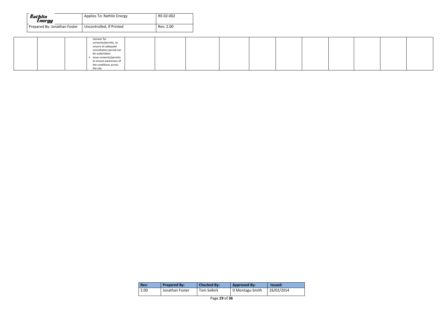| Rathlin<br><i>Energy</i>     | Applies To: Rathlin Energy | RE-02-002 |
|------------------------------|----------------------------|-----------|
| Prepared By: Jonathan Foster | Uncontrolled, If Printed   | Rev: 2.00 |

| Rev: | <b>Prepared By:</b> | <b>Checked By:</b> | <b>Approved By:</b> | Issued:    |
|------|---------------------|--------------------|---------------------|------------|
| 2.00 | Jonathan Foster     | Tom Selkirk        | D Montagu-Smith     | 26/02/2014 |

| manner for               |  |  |
|--------------------------|--|--|
| consents/permits, to     |  |  |
| ensure an adequate       |  |  |
| consultation period can  |  |  |
| be undertaken            |  |  |
| · Issue consents/permits |  |  |
| to ensure awareness of   |  |  |
| the conditions across    |  |  |
| the site                 |  |  |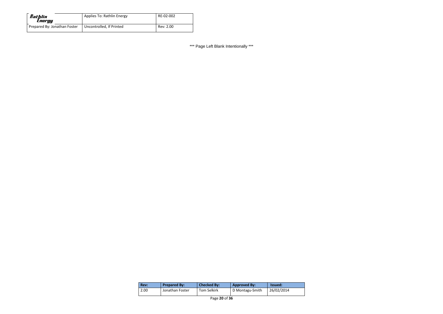| Rathlin<br><i>Energy</i>     | Applies To: Rathlin Energy | RE-02-002 |
|------------------------------|----------------------------|-----------|
| Prepared By: Jonathan Foster | Uncontrolled, If Printed   | Rev: 2.00 |

| Rev: | <b>Prepared By:</b> | <b>Checked By:</b> | <b>Approved By:</b> | <b>Issued:</b> |
|------|---------------------|--------------------|---------------------|----------------|
| 2.00 | Jonathan Foster     | <b>Tom Selkirk</b> | D Montagu-Smith     | 26/02/2014     |

\*\*\* Page Left Blank Intentionally \*\*\*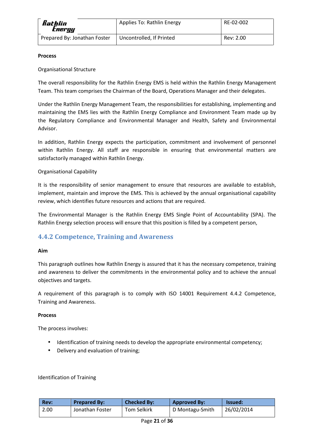| Rathlin<br><i>Energy</i>     | Applies To: Rathlin Energy | RE-02-002 |
|------------------------------|----------------------------|-----------|
| Prepared By: Jonathan Foster | Uncontrolled, If Printed   | Rev: 2.00 |

#### **Process**

Organisational Structure

The overall responsibility for the Rathlin Energy EMS is held within the Rathlin Energy Management Team. This team comprises the Chairman of the Board, Operations Manager and their delegates.

Under the Rathlin Energy Management Team, the responsibilities for establishing, implementing and maintaining the EMS lies with the Rathlin Energy Compliance and Environment Team made up by the Regulatory Compliance and Environmental Manager and Health, Safety and Environmental Advisor.

In addition, Rathlin Energy expects the participation, commitment and involvement of personnel within Rathlin Energy. All staff are responsible in ensuring that environmental matters are satisfactorily managed within Rathlin Energy.

# Organisational Capability

It is the responsibility of senior management to ensure that resources are available to establish, implement, maintain and improve the EMS. This is achieved by the annual organisational capability review, which identifies future resources and actions that are required.

The Environmental Manager is the Rathlin Energy EMS Single Point of Accountability (SPA). The Rathlin Energy selection process will ensure that this position is filled by a competent person,

# **4.4.2 Competence, Training and Awareness**

#### **Aim**

This paragraph outlines how Rathlin Energy is assured that it has the necessary competence, training and awareness to deliver the commitments in the environmental policy and to achieve the annual objectives and targets.

A requirement of this paragraph is to comply with ISO 14001 Requirement 4.4.2 Competence, Training and Awareness.

#### **Process**

The process involves:

- Identification of training needs to develop the appropriate environmental competency;
- Delivery and evaluation of training;

Identification of Training

| Rev: | <b>Prepared By:</b> | <b>Checked By:</b> | <b>Approved By:</b> | <b>Issued:</b> |
|------|---------------------|--------------------|---------------------|----------------|
| 2.00 | Jonathan Foster     | Tom Selkirk        | D Montagu-Smith     | 26/02/2014     |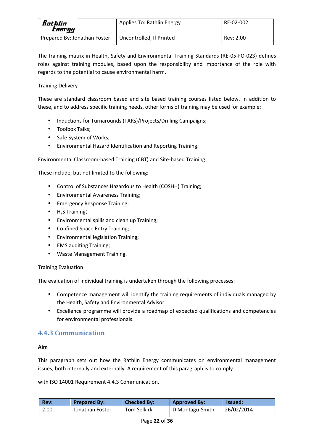| Rathlin<br>Energy            | Applies To: Rathlin Energy | RE-02-002 |
|------------------------------|----------------------------|-----------|
| Prepared By: Jonathan Foster | Uncontrolled, If Printed   | Rev: 2.00 |

The training matrix in Health, Safety and Environmental Training Standards (RE-05-FO-023) defines roles against training modules, based upon the responsibility and importance of the role with regards to the potential to cause environmental harm.

# Training Delivery

These are standard classroom based and site based training courses listed below. In addition to these, and to address specific training needs, other forms of training may be used for example:

- Inductions for Turnarounds (TARs)/Projects/Drilling Campaigns;
- Toolbox Talks:
- Safe System of Works;
- Environmental Hazard Identification and Reporting Training.

Environmental Classroom-based Training (CBT) and Site-based Training

These include, but not limited to the following:

- Control of Substances Hazardous to Health (COSHH) Training;
- Environmental Awareness Training;
- **•** Emergency Response Training;
- $\bullet$  H<sub>2</sub>S Training;
- Environmental spills and clean up Training;
- Confined Space Entry Training;
- Environmental legislation Training;
- EMS auditing Training;
- Waste Management Training.

# Training Evaluation

The evaluation of individual training is undertaken through the following processes:

- Competence management will identify the training requirements of individuals managed by the Health, Safety and Environmental Advisor.
- Excellence programme will provide a roadmap of expected qualifications and competencies for environmental professionals.

# **4.4.3 Communication**

#### **Aim**

This paragraph sets out how the Rathlin Energy communicates on environmental management issues, both internally and externally. A requirement of this paragraph is to comply

with ISO 14001 Requirement 4.4.3 Communication.

| Rev: | <b>Prepared By:</b> | <b>Checked By:</b> | <b>Approved By:</b> | <b>Issued:</b> |
|------|---------------------|--------------------|---------------------|----------------|
| 2.00 | Jonathan Foster     | <b>Tom Selkirk</b> | D Montagu-Smith     | 26/02/2014     |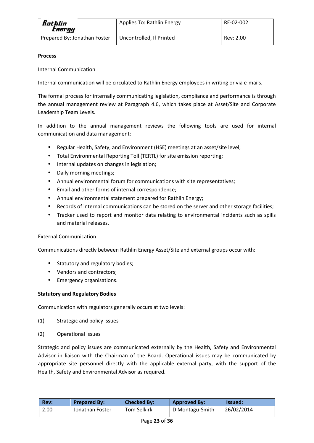| Rathlin<br><i>Energy</i>     | Applies To: Rathlin Energy | RE-02-002 |
|------------------------------|----------------------------|-----------|
| Prepared By: Jonathan Foster | Uncontrolled, If Printed   | Rev: 2.00 |

#### **Process**

Internal Communication

Internal communication will be circulated to Rathlin Energy employees in writing or via e-mails.

The formal process for internally communicating legislation, compliance and performance is through the annual management review at Paragraph 4.6, which takes place at Asset/Site and Corporate Leadership Team Levels.

In addition to the annual management reviews the following tools are used for internal communication and data management:

- Regular Health, Safety, and Environment (HSE) meetings at an asset/site level;
- Total Environmental Reporting Toll (TERTL) for site emission reporting;
- Internal updates on changes in legislation:
- Daily morning meetings;
- Annual environmental forum for communications with site representatives;
- Email and other forms of internal correspondence;
- Annual environmental statement prepared for Rathlin Energy;
- Records of internal communications can be stored on the server and other storage facilities;
- Tracker used to report and monitor data relating to environmental incidents such as spills and material releases.

#### External Communication

Communications directly between Rathlin Energy Asset/Site and external groups occur with:

- Statutory and regulatory bodies;
- Vendors and contractors;
- **•** Emergency organisations.

# **Statutory and Regulatory Bodies**

Communication with regulators generally occurs at two levels:

- (1) Strategic and policy issues
- (2) Operational issues

Strategic and policy issues are communicated externally by the Health, Safety and Environmental Advisor in liaison with the Chairman of the Board. Operational issues may be communicated by appropriate site personnel directly with the applicable external party, with the support of the Health, Safety and Environmental Advisor as required.

| Rev: | <b>Prepared By:</b> | <b>Checked By:</b> | <b>Approved By:</b> | <b>Issued:</b> |
|------|---------------------|--------------------|---------------------|----------------|
| 2.00 | Jonathan Foster     | Tom Selkirk        | D Montagu-Smith     | 26/02/2014     |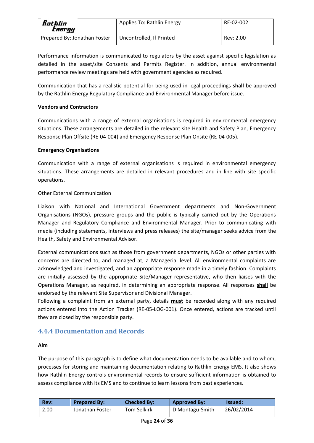| Rathlin<br>Energy            | Applies To: Rathlin Energy | RE-02-002 |
|------------------------------|----------------------------|-----------|
| Prepared By: Jonathan Foster | Uncontrolled, If Printed   | Rev: 2.00 |

Performance information is communicated to regulators by the asset against specific legislation as detailed in the asset/site Consents and Permits Register. In addition, annual environmental performance review meetings are held with government agencies as required.

Communication that has a realistic potential for being used in legal proceedings **shall** be approved by the Rathlin Energy Regulatory Compliance and Environmental Manager before issue.

## **Vendors and Contractors**

Communications with a range of external organisations is required in environmental emergency situations. These arrangements are detailed in the relevant site Health and Safety Plan, Emergency Response Plan Offsite (RE-04-004) and Emergency Response Plan Onsite (RE-04-005).

#### **Emergency Organisations**

Communication with a range of external organisations is required in environmental emergency situations. These arrangements are detailed in relevant procedures and in line with site specific operations.

# Other External Communication

Liaison with National and International Government departments and Non-Government Organisations (NGOs), pressure groups and the public is typically carried out by the Operations Manager and Regulatory Compliance and Environmental Manager. Prior to communicating with media (including statements, interviews and press releases) the site/manager seeks advice from the Health, Safety and Environmental Advisor.

External communications such as those from government departments, NGOs or other parties with concerns are directed to, and managed at, a Managerial level. All environmental complaints are acknowledged and investigated, and an appropriate response made in a timely fashion. Complaints are initially assessed by the appropriate Site/Manager representative, who then liaises with the Operations Manager, as required, in determining an appropriate response. All responses **shall** be endorsed by the relevant Site Supervisor and Divisional Manager.

Following a complaint from an external party, details **must** be recorded along with any required actions entered into the Action Tracker (RE-05-LOG-001). Once entered, actions are tracked until they are closed by the responsible party.

# **4.4.4 Documentation and Records**

#### **Aim**

The purpose of this paragraph is to define what documentation needs to be available and to whom, processes for storing and maintaining documentation relating to Rathlin Energy EMS. It also shows how Rathlin Energy controls environmental records to ensure sufficient information is obtained to assess compliance with its EMS and to continue to learn lessons from past experiences.

| Rev: | <b>Prepared By:</b> | <b>Checked By:</b> | <b>Approved By:</b> | <b>Issued:</b> |
|------|---------------------|--------------------|---------------------|----------------|
| 2.00 | Jonathan Foster     | <b>Tom Selkirk</b> | D Montagu-Smith     | 26/02/2014     |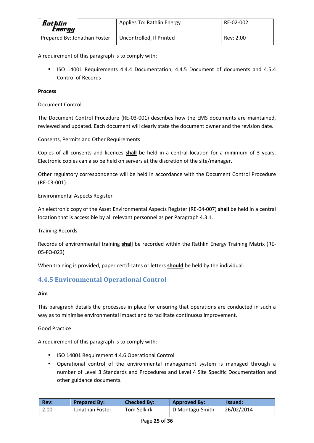| Rathlin<br>Energy            | Applies To: Rathlin Energy | RE-02-002 |
|------------------------------|----------------------------|-----------|
| Prepared By: Jonathan Foster | Uncontrolled, If Printed   | Rev: 2.00 |

A requirement of this paragraph is to comply with:

 ISO 14001 Requirements 4.4.4 Documentation, 4.4.5 Document of documents and 4.5.4 Control of Records

# **Process**

Document Control

The Document Control Procedure (RE-03-001) describes how the EMS documents are maintained, reviewed and updated. Each document will clearly state the document owner and the revision date.

Consents, Permits and Other Requirements

Copies of all consents and licences **shall** be held in a central location for a minimum of 3 years. Electronic copies can also be held on servers at the discretion of the site/manager.

Other regulatory correspondence will be held in accordance with the Document Control Procedure (RE-03-001).

Environmental Aspects Register

An electronic copy of the Asset Environmental Aspects Register (RE-04-007) **shall** be held in a central location that is accessible by all relevant personnel as per Paragraph 4.3.1.

Training Records

Records of environmental training **shall** be recorded within the Rathlin Energy Training Matrix (RE- 05-FO-023)

When training is provided, paper certificates or letters **should** be held by the individual.

# **4.4.5 Environmental Operational Control**

# **Aim**

This paragraph details the processes in place for ensuring that operations are conducted in such a way as to minimise environmental impact and to facilitate continuous improvement.

Good Practice

A requirement of this paragraph is to comply with:

- ISO 14001 Requirement 4.4.6 Operational Control
- Operational control of the environmental management system is managed through a number of Level 3 Standards and Procedures and Level 4 Site Specific Documentation and other guidance documents.

| Rev: | <b>Prepared By:</b> | <b>Checked By:</b> | <b>Approved By:</b> | <b>Issued:</b> |
|------|---------------------|--------------------|---------------------|----------------|
| 2.00 | Jonathan Foster     | Tom Selkirk        | D Montagu-Smith     | 26/02/2014     |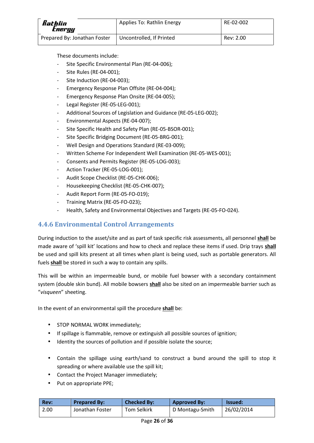| Rathlin<br><i>Energy</i>     | Applies To: Rathlin Energy | RE-02-002 |
|------------------------------|----------------------------|-----------|
| Prepared By: Jonathan Foster | Uncontrolled, If Printed   | Rev: 2.00 |

These documents include:

- Site Specific Environmental Plan (RE-04-006);
- Site Rules (RE-04-001);
- Site Induction (RE-04-003);
- Emergency Response Plan Offsite (RE-04-004);
- Emergency Response Plan Onsite (RE-04-005);
- Legal Register (RE-05-LEG-001);
- Additional Sources of Legislation and Guidance (RE-05-LEG-002);
- Environmental Aspects (RE-04-007);
- Site Specific Health and Safety Plan (RE-05-BSOR-001);
- Site Specific Bridging Document (RE-05-BRG-001);
- Well Design and Operations Standard (RE-03-009);
- Written Scheme For Independent Well Examination (RE-05-WES-001);
- Consents and Permits Register (RE-05-LOG-003);
- Action Tracker (RE-05-LOG-001);
- Audit Scope Checklist (RE-05-CHK-006);
- Housekeeping Checklist (RE-05-CHK-007);
- Audit Report Form (RE-05-FO-019);
- Training Matrix (RE-05-FO-023);
- Health, Safety and Environmental Objectives and Targets (RE-05-FO-024).

# **4.4.6 Environmental Control Arrangements**

During induction to the asset/site and as part of task specific risk assessments, all personnel **shall** be made aware of 'spill kit' locations and how to check and replace these items if used. Drip trays **shall** be used and spill kits present at all times when plant is being used, such as portable generators. All fuels **shall** be stored in such a way to contain any spills.

This will be within an impermeable bund, or mobile fuel bowser with a secondary containment system (double skin bund). All mobile bowsers **shall** also be sited on an impermeable barrier such as "*visqueen*" sheeting.

In the event of an environmental spill the procedure **shall** be:

- STOP NORMAL WORK immediately;
- If spillage is flammable, remove or extinguish all possible sources of ignition;
- Identity the sources of pollution and if possible isolate the source;
- Contain the spillage using earth/sand to construct a bund around the spill to stop it spreading or where available use the spill kit;
- Contact the Project Manager immediately;
- Put on appropriate PPE;

| Rev: | <b>Prepared By:</b> | <b>Checked By:</b> | <b>Approved By:</b> | <b>Issued:</b> |
|------|---------------------|--------------------|---------------------|----------------|
| 2.00 | Jonathan Foster     | Tom Selkirk        | D Montagu-Smith     | 26/02/2014     |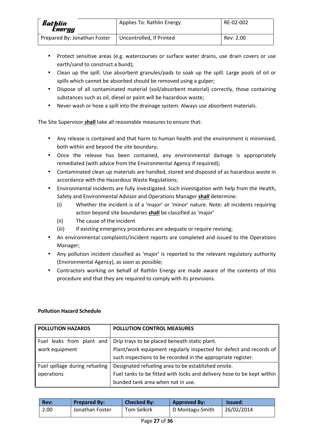| Rathlin<br><i>Energy</i>     | Applies To: Rathlin Energy | RE-02-002 |
|------------------------------|----------------------------|-----------|
| Prepared By: Jonathan Foster | Uncontrolled, If Printed   | Rev: 2.00 |

- Protect sensitive areas (e.g. watercourses or surface water drains, use drain covers or use earth/sand to construct a bund);
- Clean up the spill. Use absorbent granules/pads to soak up the spill. Large pools of oil or spills which cannot be absorbed should be removed using a gulper;
- Dispose of all contaminated material (soil/absorbent material) correctly, those containing substances such as oil, diesel or paint will be hazardous waste;
- Never wash or hose a spill into the drainage system. Always use absorbent materials.

The Site Supervisor **shall** take all reasonable measures to ensure that:

- Any release is contained and that harm to human health and the environment is minimised, both within and beyond the site boundary;
- Once the release has been contained, any environmental damage is appropriately remediated (with advice from the Environmental Agency if required);
- Contaminated clean up materials are handled, stored and disposed of as hazardous waste in accordance with the Hazardous Waste Regulations;
- Environmental incidents are fully investigated. Such investigation with help from the Health, Safety and Environmental Advisor and Operations Manager **shall** determine:
	- (i) Whether the incident is of a 'major' or 'minor' nature. Note: all incidents requiring action beyond site boundaries **shall** be classified as 'major'
	- (ii) The cause of the incident
	- (iii) If existing emergency procedures are adequate or require revising;
- An environmental complaints/incident reports are completed and issued to the Operations Manager;
- Any pollution incident classified as 'major' is reported to the relevant regulatory authority (Environmental Agency), as soon as possible;
- Contractors working on behalf of Rathlin Energy are made aware of the contents of this procedure and that they are required to comply with its provisions.

# **Pollution Hazard Schedule**

| <b>POLLUTION HAZARDS</b>       | <b>POLLUTION CONTROL MEASURES</b>                                      |
|--------------------------------|------------------------------------------------------------------------|
| Fuel leaks from plant and      | Drip trays to be placed beneath static plant.                          |
| work equipment                 | Plant/work equipment regularly inspected for defect and records of     |
|                                | such inspections to be recorded in the appropriate register.           |
| Fuel spillage during refueling | Designated refueling area to be established onsite.                    |
| operations                     | Fuel tanks to be fitted with locks and delivery hose to be kept within |
|                                | bunded tank area when not in use.                                      |

| Rev: | <b>Prepared By:</b> | <b>Checked By:</b> | <b>Approved By:</b> | <b>Issued:</b> |
|------|---------------------|--------------------|---------------------|----------------|
| 2.00 | Jonathan Foster     | <b>Tom Selkirk</b> | D Montagu-Smith     | 26/02/2014     |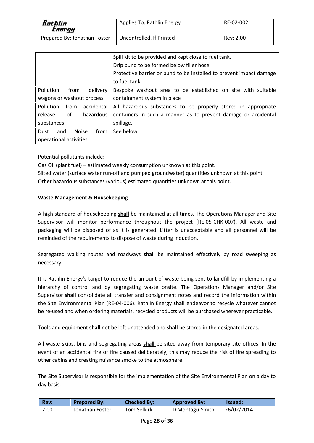| Rathlin<br><i>Energy</i>     | Applies To: Rathlin Energy | RE-02-002 |
|------------------------------|----------------------------|-----------|
| Prepared By: Jonathan Foster | Uncontrolled, If Printed   | Rev: 2.00 |

|                                     | Spill kit to be provided and kept close to fuel tank.               |
|-------------------------------------|---------------------------------------------------------------------|
|                                     | Drip bund to be formed below filler hose.                           |
|                                     | Protective barrier or bund to be installed to prevent impact damage |
|                                     | to fuel tank.                                                       |
| Pollution<br>delivery<br>from       | Bespoke washout area to be established on site with suitable        |
| wagons or washout process           | containment system in place                                         |
| Pollution<br>accidental<br>from     | All hazardous substances to be properly stored in appropriate       |
| of<br>release<br>hazardous          | containers in such a manner as to prevent damage or accidental      |
| substances                          | spillage.                                                           |
| from<br><b>Noise</b><br>Dust<br>and | See below                                                           |
| operational activities              |                                                                     |

Potential pollutants include:

Gas Oil (plant fuel) – estimated weekly consumption unknown at this point.

Silted water (surface water run-off and pumped groundwater) quantities unknown at this point. Other hazardous substances (various) estimated quantities unknown at this point.

# **Waste Management & Housekeeping**

A high standard of housekeeping **shall** be maintained at all times. The Operations Manager and Site Supervisor will monitor performance throughout the project (RE-05-CHK-007). All waste and packaging will be disposed of as it is generated. Litter is unacceptable and all personnel will be reminded of the requirements to dispose of waste during induction.

Segregated walking routes and roadways **shall** be maintained effectively by road sweeping as necessary.

It is Rathlin Energy's target to reduce the amount of waste being sent to landfill by implementing a hierarchy of control and by segregating waste onsite. The Operations Manager and/or Site Supervisor **shall** consolidate all transfer and consignment notes and record the information within the Site Environmental Plan (RE-04-006). Rathlin Energy **shall** endeavor to recycle whatever cannot be re-used and when ordering materials, recycled products will be purchased wherever practicable.

Tools and equipment **shall** not be left unattended and **shall** be stored in the designated areas.

All waste skips, bins and segregating areas **shall** be sited away from temporary site offices. In the event of an accidental fire or fire caused deliberately, this may reduce the risk of fire spreading to other cabins and creating nuisance smoke to the atmosphere.

The Site Supervisor is responsible for the implementation of the Site Environmental Plan on a day to day basis.

| Rev: | <b>Prepared By:</b> | <b>Checked By:</b> | <b>Approved By:</b> | <b>Issued:</b> |
|------|---------------------|--------------------|---------------------|----------------|
| 2.00 | Jonathan Foster     | Tom Selkirk        | D Montagu-Smith     | 26/02/2014     |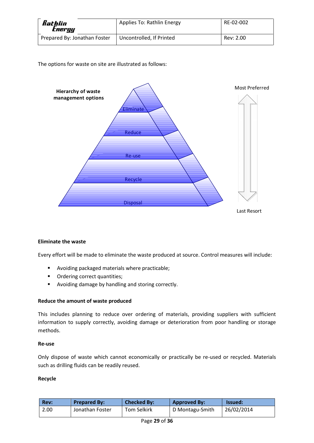| Rathlin<br>Energy            | Applies To: Rathlin Energy | RE-02-002 |
|------------------------------|----------------------------|-----------|
| Prepared By: Jonathan Foster | Uncontrolled, If Printed   | Rev: 2.00 |

The options for waste on site are illustrated as follows:



#### **Eliminate the waste**

Every effort will be made to eliminate the waste produced at source. Control measures will include:

- **Avoiding packaged materials where practicable;**
- **•** Ordering correct quantities;
- Avoiding damage by handling and storing correctly.

#### **Reduce the amount of waste produced**

This includes planning to reduce over ordering of materials, providing suppliers with sufficient information to supply correctly, avoiding damage or deterioration from poor handling or storage methods.

#### **Re-use**

Only dispose of waste which cannot economically or practically be re-used or recycled. Materials such as drilling fluids can be readily reused.

#### **Recycle**

| <b>Rev:</b> | <b>Prepared By:</b> | <b>Checked By:</b> | <b>Approved By:</b> | <b>Issued:</b> |
|-------------|---------------------|--------------------|---------------------|----------------|
| 2.00        | Jonathan Foster     | Tom Selkirk        | D Montagu-Smith     | 26/02/2014     |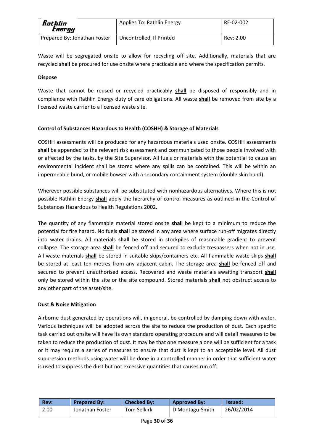| Rathlin<br><i>Energy</i>     | Applies To: Rathlin Energy | RE-02-002 |
|------------------------------|----------------------------|-----------|
| Prepared By: Jonathan Foster | Uncontrolled, If Printed   | Rev: 2.00 |

Waste will be segregated onsite to allow for recycling off site. Additionally, materials that are recycled **shall** be procured for use onsite where practicable and where the specification permits.

## **Dispose**

Waste that cannot be reused or recycled practicably **shall** be disposed of responsibly and in compliance with Rathlin Energy duty of care obligations. All waste **shall** be removed from site by a licensed waste carrier to a licensed waste site.

# **Control of Substances Hazardous to Health (COSHH) & Storage of Materials**

COSHH assessments will be produced for any hazardous materials used onsite. COSHH assessments **shall** be appended to the relevant risk assessment and communicated to those people involved with or affected by the tasks, by the Site Supervisor. All fuels or materials with the potential to cause an environmental incident shall be stored where any spills can be contained. This will be within an impermeable bund, or mobile bowser with a secondary containment system (double skin bund).

Wherever possible substances will be substituted with nonhazardous alternatives. Where this is not possible Rathlin Energy **shall** apply the hierarchy of control measures as outlined in the Control of Substances Hazardous to Health Regulations 2002.

The quantity of any flammable material stored onsite **shall** be kept to a minimum to reduce the potential for fire hazard. No fuels **shall** be stored in any area where surface run-off migrates directly into water drains. All materials **shall** be stored in stockpiles of reasonable gradient to prevent collapse. The storage area **shall** be fenced off and secured to exclude trespassers when not in use. All waste materials **shall** be stored in suitable skips/containers etc. All flammable waste skips **shall** be stored at least ten metres from any adjacent cabin. The storage area **shall** be fenced off and secured to prevent unauthorised access. Recovered and waste materials awaiting transport **shall** only be stored within the site or the site compound. Stored materials **shall** not obstruct access to any other part of the asset/site.

#### **Dust & Noise Mitigation**

Airborne dust generated by operations will, in general, be controlled by damping down with water. Various techniques will be adopted across the site to reduce the production of dust. Each specific task carried out onsite will have its own standard operating procedure and will detail measures to be taken to reduce the production of dust. It may be that one measure alone will be sufficient for a task or it may require a series of measures to ensure that dust is kept to an acceptable level. All dust suppression methods using water will be done in a controlled manner in order that sufficient water is used to suppress the dust but not excessive quantities that causes run off.

| Rev: | <b>Prepared By:</b> | <b>Checked By:</b> | <b>Approved By:</b> | Issued:    |
|------|---------------------|--------------------|---------------------|------------|
| 2.00 | Jonathan Foster     | Tom Selkirk        | D Montagu-Smith     | 26/02/2014 |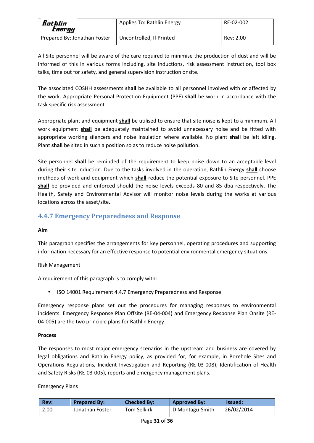| Rathlin<br><i>Energy</i>     | Applies To: Rathlin Energy | RE-02-002 |
|------------------------------|----------------------------|-----------|
| Prepared By: Jonathan Foster | Uncontrolled, If Printed   | Rev: 2.00 |

All Site personnel will be aware of the care required to minimise the production of dust and will be informed of this in various forms including, site inductions, risk assessment instruction, tool box talks, time out for safety, and general supervision instruction onsite.

The associated COSHH assessments **shall** be available to all personnel involved with or affected by the work. Appropriate Personal Protection Equipment (PPE) **shall** be worn in accordance with the task specific risk assessment.

Appropriate plant and equipment **shall** be utilised to ensure that site noise is kept to a minimum. All work equipment **shall** be adequately maintained to avoid unnecessary noise and be fitted with appropriate working silencers and noise insulation where available. No plant **shall** be left idling. Plant **shall** be sited in such a position so as to reduce noise pollution.

Site personnel **shall** be reminded of the requirement to keep noise down to an acceptable level during their site induction. Due to the tasks involved in the operation, Rathlin Energy **shall** choose methods of work and equipment which **shall** reduce the potential exposure to Site personnel. PPE **shall** be provided and enforced should the noise levels exceeds 80 and 85 dba respectively. The Health, Safety and Environmental Advisor will monitor noise levels during the works at various locations across the asset/site.

# **4.4.7 Emergency Preparedness and Response**

# **Aim**

This paragraph specifies the arrangements for key personnel, operating procedures and supporting information necessary for an effective response to potential environmental emergency situations.

# Risk Management

A requirement of this paragraph is to comply with:

ISO 14001 Requirement 4.4.7 Emergency Preparedness and Response

Emergency response plans set out the procedures for managing responses to environmental incidents. Emergency Response Plan Offsite (RE-04-004) and Emergency Response Plan Onsite (RE- 04-005) are the two principle plans for Rathlin Energy.

# **Process**

The responses to most major emergency scenarios in the upstream and business are covered by legal obligations and Rathlin Energy policy, as provided for, for example, in Borehole Sites and Operations Regulations, Incident Investigation and Reporting (RE-03-008), Identification of Health and Safety Risks (RE-03-005), reports and emergency management plans.

Emergency Plans

| Rev: | <b>Prepared By:</b> | <b>Checked By:</b> | <b>Approved By:</b> | <b>Issued:</b> |
|------|---------------------|--------------------|---------------------|----------------|
| 2.00 | Jonathan Foster     | <b>Tom Selkirk</b> | D Montagu-Smith     | 26/02/2014     |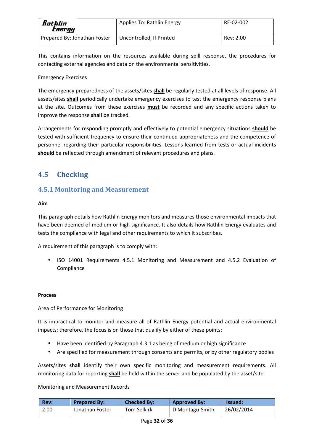| Rathlin<br><i>Energy</i>     | Applies To: Rathlin Energy | RE-02-002 |
|------------------------------|----------------------------|-----------|
| Prepared By: Jonathan Foster | Uncontrolled, If Printed   | Rev: 2.00 |

This contains information on the resources available during spill response, the procedures for contacting external agencies and data on the environmental sensitivities.

# Emergency Exercises

The emergency preparedness of the assets/sites **shall** be regularly tested at all levels of response. All assets/sites **shall** periodically undertake emergency exercises to test the emergency response plans at the site. Outcomes from these exercises **must** be recorded and any specific actions taken to improve the response **shall** be tracked.

Arrangements for responding promptly and effectively to potential emergency situations **should** be tested with sufficient frequency to ensure their continued appropriateness and the competence of personnel regarding their particular responsibilities. Lessons learned from tests or actual incidents **should** be reflected through amendment of relevant procedures and plans.

# **4.5 Checking**

# **4.5.1 Monitoring and Measurement**

#### **Aim**

This paragraph details how Rathlin Energy monitors and measures those environmental impacts that have been deemed of medium or high significance. It also details how Rathlin Energy evaluates and tests the compliance with legal and other requirements to which it subscribes.

A requirement of this paragraph is to comply with:

 ISO 14001 Requirements 4.5.1 Monitoring and Measurement and 4.5.2 Evaluation of Compliance

#### **Process**

Area of Performance for Monitoring

It is impractical to monitor and measure all of Rathlin Energy potential and actual environmental impacts; therefore, the focus is on those that qualify by either of these points:

- Have been identified by Paragraph 4.3.1 as being of medium or high significance
- Are specified for measurement through consents and permits, or by other regulatory bodies

Assets/sites **shall** identify their own specific monitoring and measurement requirements. All monitoring data for reporting **shall** be held within the server and be populated by the asset/site.

#### Monitoring and Measurement Records

| Rev: | <b>Prepared By:</b> | <b>Checked By:</b> | <b>Approved By:</b> | <b>Issued:</b> |
|------|---------------------|--------------------|---------------------|----------------|
| 2.00 | Jonathan Foster     | Tom Selkirk        | D Montagu-Smith     | 26/02/2014     |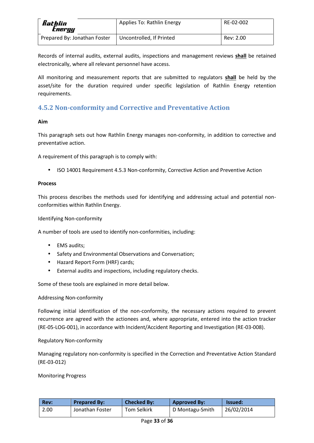| Rathlin<br><i>Energy</i>     | Applies To: Rathlin Energy | RE-02-002 |
|------------------------------|----------------------------|-----------|
| Prepared By: Jonathan Foster | Uncontrolled, If Printed   | Rev: 2.00 |

Records of internal audits, external audits, inspections and management reviews **shall** be retained electronically, where all relevant personnel have access.

All monitoring and measurement reports that are submitted to regulators **shall** be held by the asset/site for the duration required under specific legislation of Rathlin Energy retention requirements.

# **4.5.2 Non-conformity and Corrective and Preventative Action**

# **Aim**

This paragraph sets out how Rathlin Energy manages non-conformity, in addition to corrective and preventative action.

A requirement of this paragraph is to comply with:

ISO 14001 Requirement 4.5.3 Non-conformity, Corrective Action and Preventive Action

# **Process**

This process describes the methods used for identifying and addressing actual and potential non conformities within Rathlin Energy.

Identifying Non-conformity

A number of tools are used to identify non-conformities, including:

- EMS audits;
- Safety and Environmental Observations and Conversation;
- Hazard Report Form (HRF) cards;
- External audits and inspections, including regulatory checks.

Some of these tools are explained in more detail below.

# Addressing Non-conformity

Following initial identification of the non-conformity, the necessary actions required to prevent recurrence are agreed with the actionees and, where appropriate, entered into the action tracker (RE-05-LOG-001), in accordance with Incident/Accident Reporting and Investigation (RE-03-008).

# Regulatory Non-conformity

Managing regulatory non-conformity is specified in the Correction and Preventative Action Standard (RE-03-012)

# Monitoring Progress

| <b>Rev:</b> | <b>Prepared By:</b> | <b>Checked By:</b> | <b>Approved By:</b> | Issued:    |
|-------------|---------------------|--------------------|---------------------|------------|
| 2.00        | Jonathan Foster     | <b>Tom Selkirk</b> | D Montagu-Smith     | 26/02/2014 |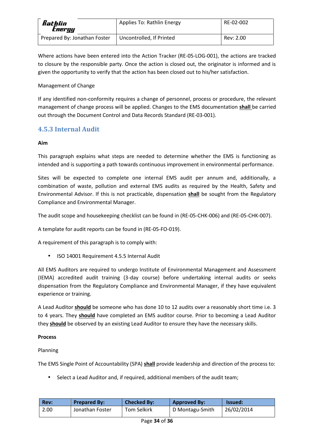| Rathlin<br>Energy            | Applies To: Rathlin Energy | RE-02-002 |
|------------------------------|----------------------------|-----------|
| Prepared By: Jonathan Foster | Uncontrolled, If Printed   | Rev: 2.00 |

Where actions have been entered into the Action Tracker (RE-05-LOG-001), the actions are tracked to closure by the responsible party. Once the action is closed out, the originator is informed and is given the opportunity to verify that the action has been closed out to his/her satisfaction.

# Management of Change

If any identified non-conformity requires a change of personnel, process or procedure, the relevant management of change process will be applied. Changes to the EMS documentation **shall** be carried out through the Document Control and Data Records Standard (RE-03-001).

# **4.5.3 Internal Audit**

# **Aim**

This paragraph explains what steps are needed to determine whether the EMS is functioning as intended and is supporting a path towards continuous improvement in environmental performance.

Sites will be expected to complete one internal EMS audit per annum and, additionally, a combination of waste, pollution and external EMS audits as required by the Health, Safety and Environmental Advisor. If this is not practicable, dispensation **shall** be sought from the Regulatory Compliance and Environmental Manager.

The audit scope and housekeeping checklist can be found in (RE-05-CHK-006) and (RE-05-CHK-007).

A template for audit reports can be found in (RE-05-FO-019).

A requirement of this paragraph is to comply with:

ISO 14001 Requirement 4.5.5 Internal Audit

All EMS Auditors are required to undergo Institute of Environmental Management and Assessment (IEMA) accredited audit training (3-day course) before undertaking internal audits or seeks dispensation from the Regulatory Compliance and Environmental Manager, if they have equivalent experience or training.

A Lead Auditor **should** be someone who has done 10 to 12 audits over a reasonably short time i.e. 3 to 4 years. They **should** have completed an EMS auditor course. Prior to becoming a Lead Auditor they **should** be observed by an existing Lead Auditor to ensure they have the necessary skills.

# **Process**

# Planning

The EMS Single Point of Accountability (SPA) **shall** provide leadership and direction of the process to:

Select a Lead Auditor and, if required, additional members of the audit team;

| Rev: | <b>Prepared By:</b> | <b>Checked By:</b> | <b>Approved By:</b> | <b>Issued:</b> |
|------|---------------------|--------------------|---------------------|----------------|
| 2.00 | Jonathan Foster     | Tom Selkirk        | D Montagu-Smith     | 26/02/2014     |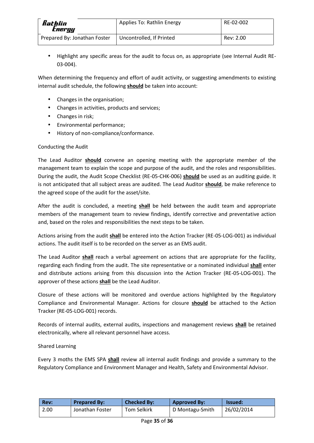| Rathlin<br><i>Energy</i>     | Applies To: Rathlin Energy | RE-02-002 |
|------------------------------|----------------------------|-----------|
| Prepared By: Jonathan Foster | Uncontrolled, If Printed   | Rev: 2.00 |

 Highlight any specific areas for the audit to focus on, as appropriate (see Internal Audit RE- 03-004).

When determining the frequency and effort of audit activity, or suggesting amendments to existing internal audit schedule, the following **should** be taken into account:

- Changes in the organisation;
- Changes in activities, products and services;
- Changes in risk;
- Environmental performance;
- History of non-compliance/conformance.

#### Conducting the Audit

The Lead Auditor **should** convene an opening meeting with the appropriate member of the management team to explain the scope and purpose of the audit, and the roles and responsibilities. During the audit, the Audit Scope Checklist (RE-05-CHK-006) **should** be used as an auditing guide. It is not anticipated that all subject areas are audited. The Lead Auditor **should**, be make reference to the agreed scope of the audit for the asset/site.

After the audit is concluded, a meeting **shall** be held between the audit team and appropriate members of the management team to review findings, identify corrective and preventative action and, based on the roles and responsibilities the next steps to be taken.

Actions arising from the audit **shall** be entered into the Action Tracker (RE-05-LOG-001) as individual actions. The audit itself is to be recorded on the server as an EMS audit.

The Lead Auditor **shall** reach a verbal agreement on actions that are appropriate for the facility, regarding each finding from the audit. The site representative or a nominated individual **shall** enter and distribute actions arising from this discussion into the Action Tracker (RE-05-LOG-001). The approver of these actions **shall** be the Lead Auditor.

Closure of these actions will be monitored and overdue actions highlighted by the Regulatory Compliance and Environmental Manager. Actions for closure **should** be attached to the Action Tracker (RE-05-LOG-001) records.

Records of internal audits, external audits, inspections and management reviews **shall** be retained electronically, where all relevant personnel have access.

# Shared Learning

Every 3 moths the EMS SPA **shall** review all internal audit findings and provide a summary to the Regulatory Compliance and Environment Manager and Health, Safety and Environmental Advisor.

| Rev: | <b>Prepared By:</b> | <b>Checked By:</b> | <b>Approved By:</b> | Issued:    |
|------|---------------------|--------------------|---------------------|------------|
| 2.00 | Jonathan Foster     | <b>Tom Selkirk</b> | D Montagu-Smith     | 26/02/2014 |